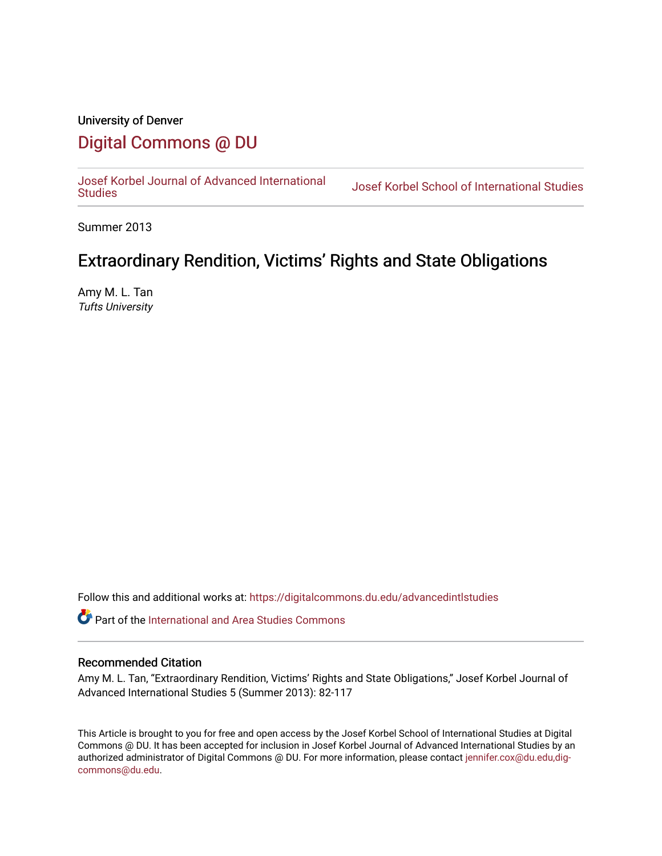# University of Denver [Digital Commons @ DU](https://digitalcommons.du.edu/)

[Josef Korbel Journal of Advanced International](https://digitalcommons.du.edu/advancedintlstudies) 

Josef Korbel School of International Studies

Summer 2013

# Extraordinary Rendition, Victims' Rights and State Obligations

Amy M. L. Tan Tufts University

Follow this and additional works at: [https://digitalcommons.du.edu/advancedintlstudies](https://digitalcommons.du.edu/advancedintlstudies?utm_source=digitalcommons.du.edu%2Fadvancedintlstudies%2F4&utm_medium=PDF&utm_campaign=PDFCoverPages)

Part of the [International and Area Studies Commons](http://network.bepress.com/hgg/discipline/360?utm_source=digitalcommons.du.edu%2Fadvancedintlstudies%2F4&utm_medium=PDF&utm_campaign=PDFCoverPages) 

#### Recommended Citation

Amy M. L. Tan, "Extraordinary Rendition, Victims' Rights and State Obligations," Josef Korbel Journal of Advanced International Studies 5 (Summer 2013): 82-117

This Article is brought to you for free and open access by the Josef Korbel School of International Studies at Digital Commons @ DU. It has been accepted for inclusion in Josef Korbel Journal of Advanced International Studies by an authorized administrator of Digital Commons @ DU. For more information, please contact [jennifer.cox@du.edu,dig](mailto:jennifer.cox@du.edu,dig-commons@du.edu)[commons@du.edu.](mailto:jennifer.cox@du.edu,dig-commons@du.edu)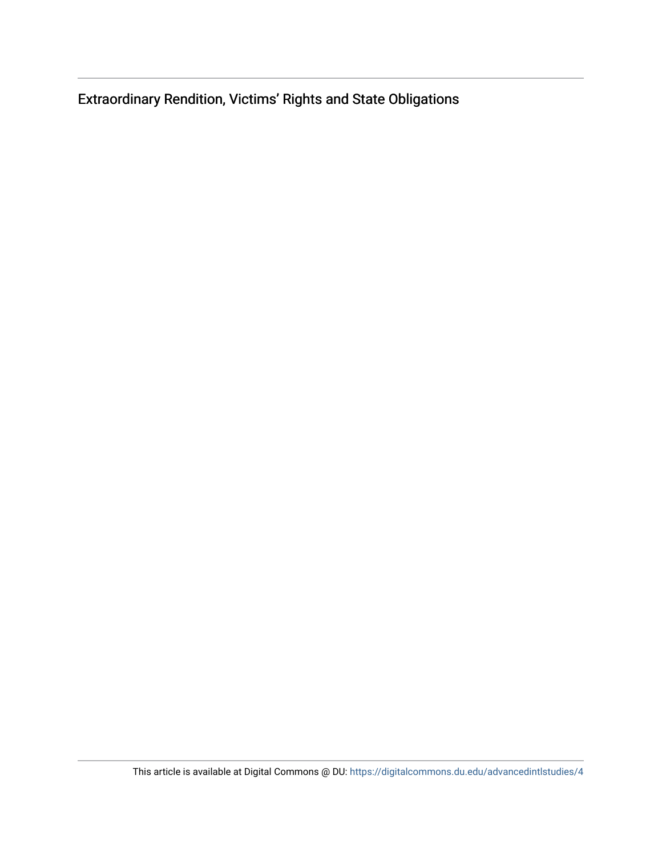Extraordinary Rendition, Victims' Rights and State Obligations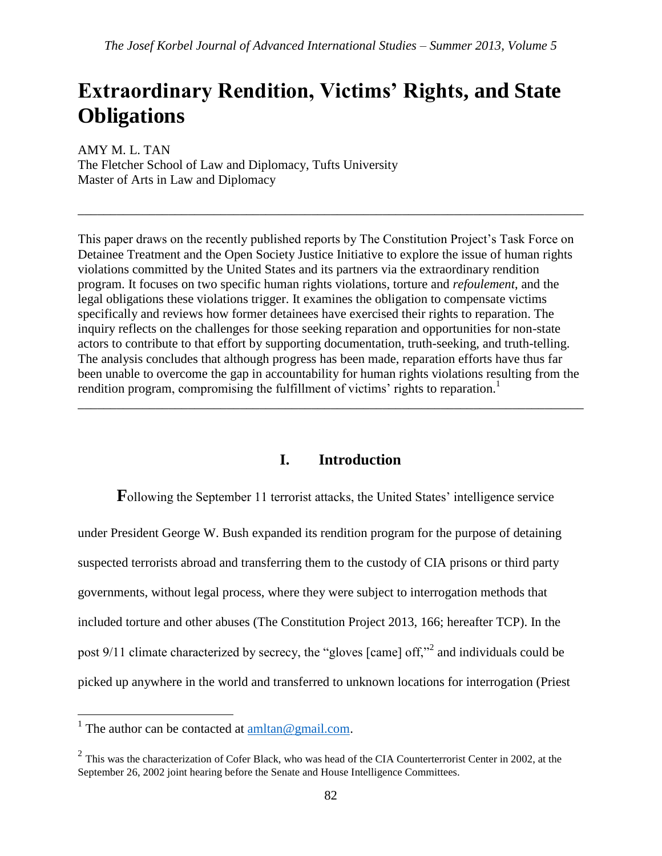# **Extraordinary Rendition, Victims' Rights, and State Obligations**

AMY M. L. TAN The Fletcher School of Law and Diplomacy, Tufts University Master of Arts in Law and Diplomacy

This paper draws on the recently published reports by The Constitution Project's Task Force on Detainee Treatment and the Open Society Justice Initiative to explore the issue of human rights violations committed by the United States and its partners via the extraordinary rendition program. It focuses on two specific human rights violations, torture and *refoulement*, and the legal obligations these violations trigger. It examines the obligation to compensate victims specifically and reviews how former detainees have exercised their rights to reparation. The inquiry reflects on the challenges for those seeking reparation and opportunities for non-state actors to contribute to that effort by supporting documentation, truth-seeking, and truth-telling. The analysis concludes that although progress has been made, reparation efforts have thus far been unable to overcome the gap in accountability for human rights violations resulting from the rendition program, compromising the fulfillment of victims' rights to reparation.<sup>1</sup> \_\_\_\_\_\_\_\_\_\_\_\_\_\_\_\_\_\_\_\_\_\_\_\_\_\_\_\_\_\_\_\_\_\_\_\_\_\_\_\_\_\_\_\_\_\_\_\_\_\_\_\_\_\_\_\_\_\_\_\_\_\_\_\_\_\_\_\_\_\_\_\_\_\_\_\_\_\_

\_\_\_\_\_\_\_\_\_\_\_\_\_\_\_\_\_\_\_\_\_\_\_\_\_\_\_\_\_\_\_\_\_\_\_\_\_\_\_\_\_\_\_\_\_\_\_\_\_\_\_\_\_\_\_\_\_\_\_\_\_\_\_\_\_\_\_\_\_\_\_\_\_\_\_\_\_\_

## **I. Introduction**

**F**ollowing the September 11 terrorist attacks, the United States' intelligence service under President George W. Bush expanded its rendition program for the purpose of detaining suspected terrorists abroad and transferring them to the custody of CIA prisons or third party governments, without legal process, where they were subject to interrogation methods that included torture and other abuses (The Constitution Project 2013, 166; hereafter TCP). In the post 9/11 climate characterized by secrecy, the "gloves [came] off,"<sup>2</sup> and individuals could be picked up anywhere in the world and transferred to unknown locations for interrogation (Priest

<sup>&</sup>lt;sup>1</sup> The author can be contacted at <u>amltan@gmail.com</u>.

 $2$  This was the characterization of Cofer Black, who was head of the CIA Counterterrorist Center in 2002, at the September 26, 2002 joint hearing before the Senate and House Intelligence Committees.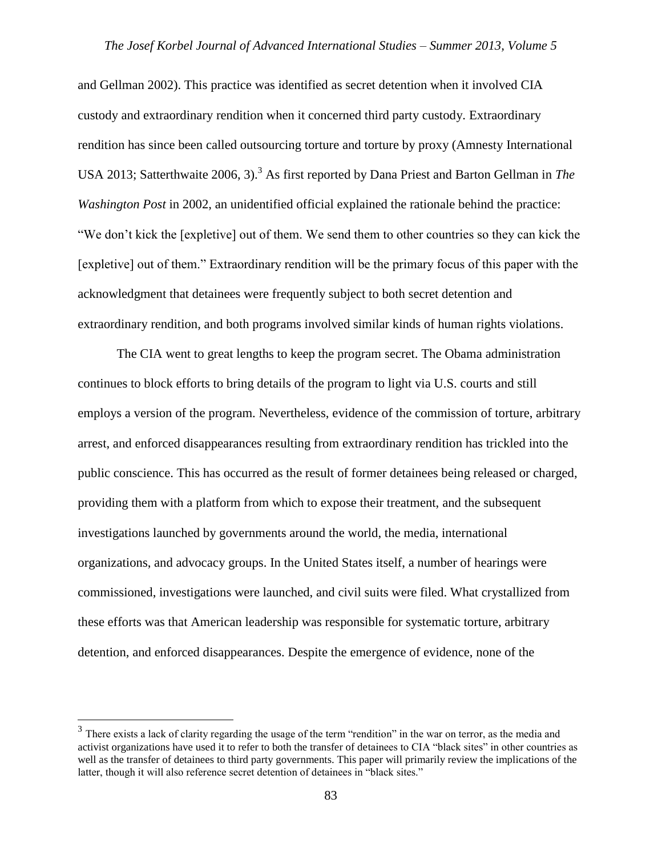and Gellman 2002). This practice was identified as secret detention when it involved CIA custody and extraordinary rendition when it concerned third party custody. Extraordinary rendition has since been called outsourcing torture and torture by proxy (Amnesty International USA 2013; Satterthwaite 2006, 3).<sup>3</sup> As first reported by Dana Priest and Barton Gellman in *The Washington Post* in 2002, an unidentified official explained the rationale behind the practice: "We don't kick the [expletive] out of them. We send them to other countries so they can kick the [expletive] out of them." Extraordinary rendition will be the primary focus of this paper with the acknowledgment that detainees were frequently subject to both secret detention and extraordinary rendition, and both programs involved similar kinds of human rights violations.

The CIA went to great lengths to keep the program secret. The Obama administration continues to block efforts to bring details of the program to light via U.S. courts and still employs a version of the program. Nevertheless, evidence of the commission of torture, arbitrary arrest, and enforced disappearances resulting from extraordinary rendition has trickled into the public conscience. This has occurred as the result of former detainees being released or charged, providing them with a platform from which to expose their treatment, and the subsequent investigations launched by governments around the world, the media, international organizations, and advocacy groups. In the United States itself, a number of hearings were commissioned, investigations were launched, and civil suits were filed. What crystallized from these efforts was that American leadership was responsible for systematic torture, arbitrary detention, and enforced disappearances. Despite the emergence of evidence, none of the

 $\overline{a}$ 

 $3$  There exists a lack of clarity regarding the usage of the term "rendition" in the war on terror, as the media and activist organizations have used it to refer to both the transfer of detainees to CIA "black sites" in other countries as well as the transfer of detainees to third party governments. This paper will primarily review the implications of the latter, though it will also reference secret detention of detainees in "black sites."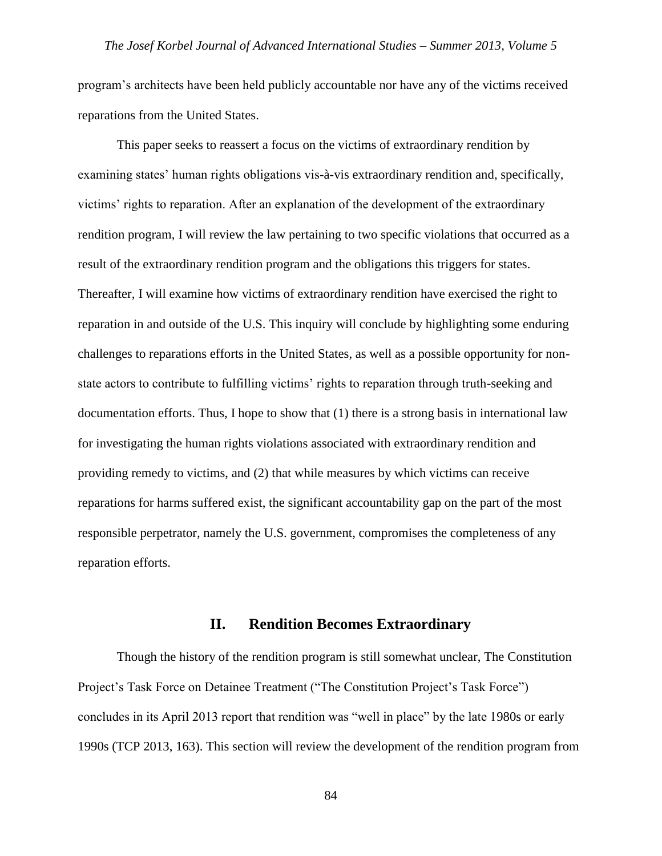program's architects have been held publicly accountable nor have any of the victims received reparations from the United States.

This paper seeks to reassert a focus on the victims of extraordinary rendition by examining states' human rights obligations vis-à-vis extraordinary rendition and, specifically, victims' rights to reparation. After an explanation of the development of the extraordinary rendition program, I will review the law pertaining to two specific violations that occurred as a result of the extraordinary rendition program and the obligations this triggers for states. Thereafter, I will examine how victims of extraordinary rendition have exercised the right to reparation in and outside of the U.S. This inquiry will conclude by highlighting some enduring challenges to reparations efforts in the United States, as well as a possible opportunity for nonstate actors to contribute to fulfilling victims' rights to reparation through truth-seeking and documentation efforts. Thus, I hope to show that (1) there is a strong basis in international law for investigating the human rights violations associated with extraordinary rendition and providing remedy to victims, and (2) that while measures by which victims can receive reparations for harms suffered exist, the significant accountability gap on the part of the most responsible perpetrator, namely the U.S. government, compromises the completeness of any reparation efforts.

#### **II. Rendition Becomes Extraordinary**

Though the history of the rendition program is still somewhat unclear, The Constitution Project's Task Force on Detainee Treatment ("The Constitution Project's Task Force") concludes in its April 2013 report that rendition was "well in place" by the late 1980s or early 1990s (TCP 2013, 163). This section will review the development of the rendition program from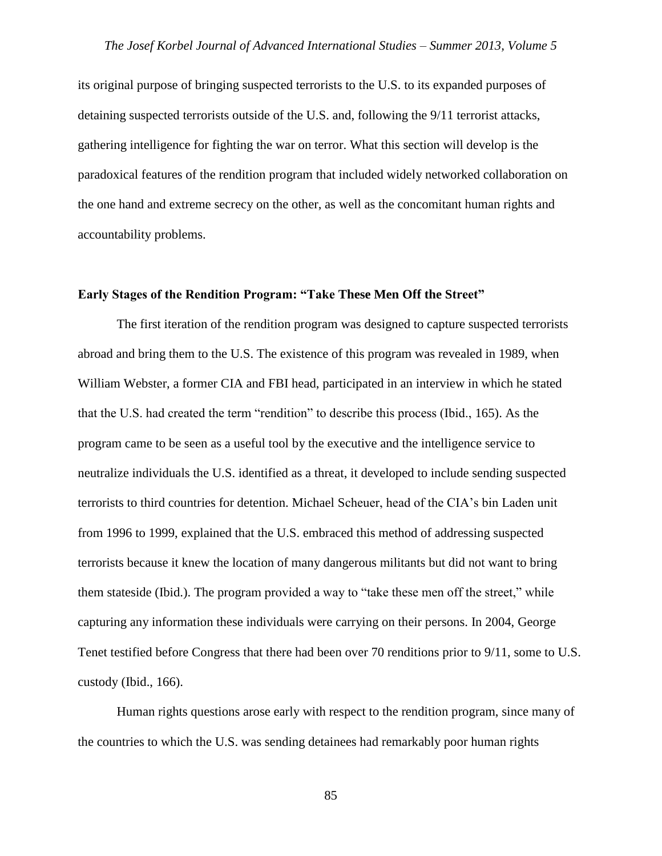its original purpose of bringing suspected terrorists to the U.S. to its expanded purposes of detaining suspected terrorists outside of the U.S. and, following the 9/11 terrorist attacks, gathering intelligence for fighting the war on terror. What this section will develop is the paradoxical features of the rendition program that included widely networked collaboration on the one hand and extreme secrecy on the other, as well as the concomitant human rights and accountability problems.

#### **Early Stages of the Rendition Program: "Take These Men Off the Street"**

The first iteration of the rendition program was designed to capture suspected terrorists abroad and bring them to the U.S. The existence of this program was revealed in 1989, when William Webster, a former CIA and FBI head, participated in an interview in which he stated that the U.S. had created the term "rendition" to describe this process (Ibid., 165). As the program came to be seen as a useful tool by the executive and the intelligence service to neutralize individuals the U.S. identified as a threat, it developed to include sending suspected terrorists to third countries for detention. Michael Scheuer, head of the CIA's bin Laden unit from 1996 to 1999, explained that the U.S. embraced this method of addressing suspected terrorists because it knew the location of many dangerous militants but did not want to bring them stateside (Ibid.). The program provided a way to "take these men off the street," while capturing any information these individuals were carrying on their persons. In 2004, George Tenet testified before Congress that there had been over 70 renditions prior to 9/11, some to U.S. custody (Ibid., 166).

Human rights questions arose early with respect to the rendition program, since many of the countries to which the U.S. was sending detainees had remarkably poor human rights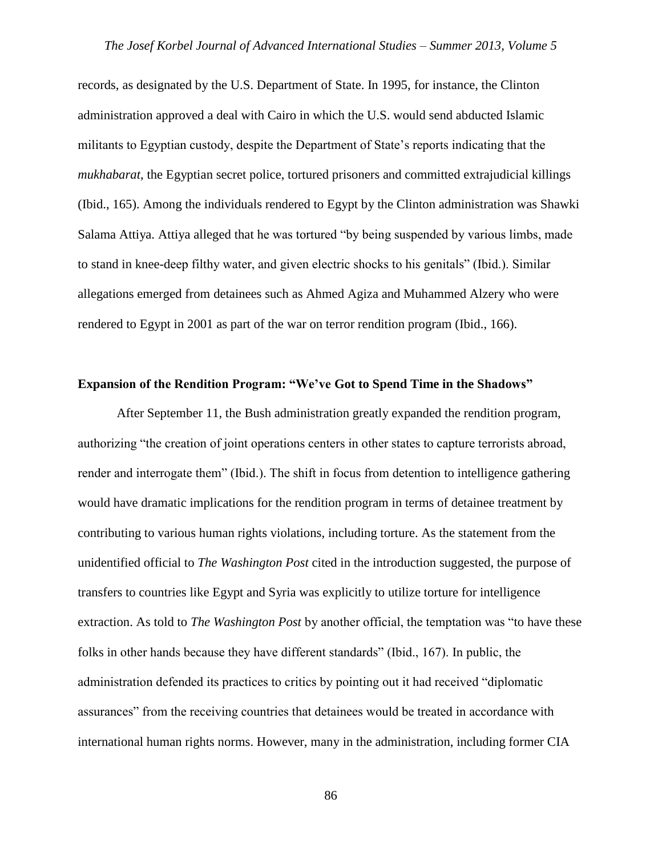records, as designated by the U.S. Department of State. In 1995, for instance, the Clinton administration approved a deal with Cairo in which the U.S. would send abducted Islamic militants to Egyptian custody, despite the Department of State's reports indicating that the *mukhabarat*, the Egyptian secret police, tortured prisoners and committed extrajudicial killings (Ibid., 165). Among the individuals rendered to Egypt by the Clinton administration was Shawki Salama Attiya. Attiya alleged that he was tortured "by being suspended by various limbs, made to stand in knee-deep filthy water, and given electric shocks to his genitals" (Ibid.). Similar allegations emerged from detainees such as Ahmed Agiza and Muhammed Alzery who were rendered to Egypt in 2001 as part of the war on terror rendition program (Ibid., 166).

#### **Expansion of the Rendition Program: "We've Got to Spend Time in the Shadows"**

After September 11, the Bush administration greatly expanded the rendition program, authorizing "the creation of joint operations centers in other states to capture terrorists abroad, render and interrogate them" (Ibid.). The shift in focus from detention to intelligence gathering would have dramatic implications for the rendition program in terms of detainee treatment by contributing to various human rights violations, including torture. As the statement from the unidentified official to *The Washington Post* cited in the introduction suggested, the purpose of transfers to countries like Egypt and Syria was explicitly to utilize torture for intelligence extraction. As told to *The Washington Post* by another official, the temptation was "to have these folks in other hands because they have different standards" (Ibid., 167). In public, the administration defended its practices to critics by pointing out it had received "diplomatic assurances" from the receiving countries that detainees would be treated in accordance with international human rights norms. However, many in the administration, including former CIA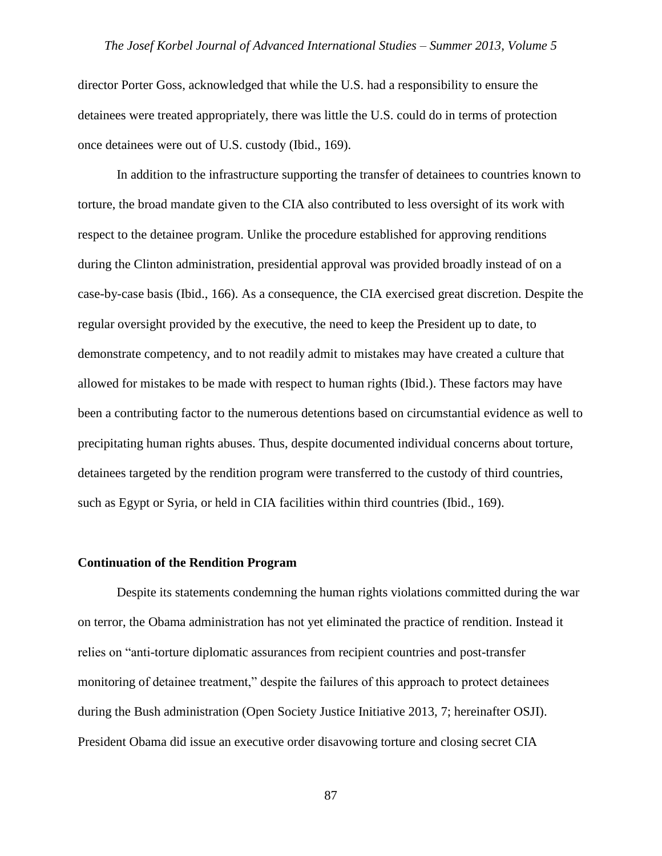director Porter Goss, acknowledged that while the U.S. had a responsibility to ensure the detainees were treated appropriately, there was little the U.S. could do in terms of protection once detainees were out of U.S. custody (Ibid., 169).

In addition to the infrastructure supporting the transfer of detainees to countries known to torture, the broad mandate given to the CIA also contributed to less oversight of its work with respect to the detainee program. Unlike the procedure established for approving renditions during the Clinton administration, presidential approval was provided broadly instead of on a case-by-case basis (Ibid., 166). As a consequence, the CIA exercised great discretion. Despite the regular oversight provided by the executive, the need to keep the President up to date, to demonstrate competency, and to not readily admit to mistakes may have created a culture that allowed for mistakes to be made with respect to human rights (Ibid.). These factors may have been a contributing factor to the numerous detentions based on circumstantial evidence as well to precipitating human rights abuses. Thus, despite documented individual concerns about torture, detainees targeted by the rendition program were transferred to the custody of third countries, such as Egypt or Syria, or held in CIA facilities within third countries (Ibid., 169).

#### **Continuation of the Rendition Program**

Despite its statements condemning the human rights violations committed during the war on terror, the Obama administration has not yet eliminated the practice of rendition. Instead it relies on "anti-torture diplomatic assurances from recipient countries and post-transfer monitoring of detainee treatment," despite the failures of this approach to protect detainees during the Bush administration (Open Society Justice Initiative 2013, 7; hereinafter OSJI). President Obama did issue an executive order disavowing torture and closing secret CIA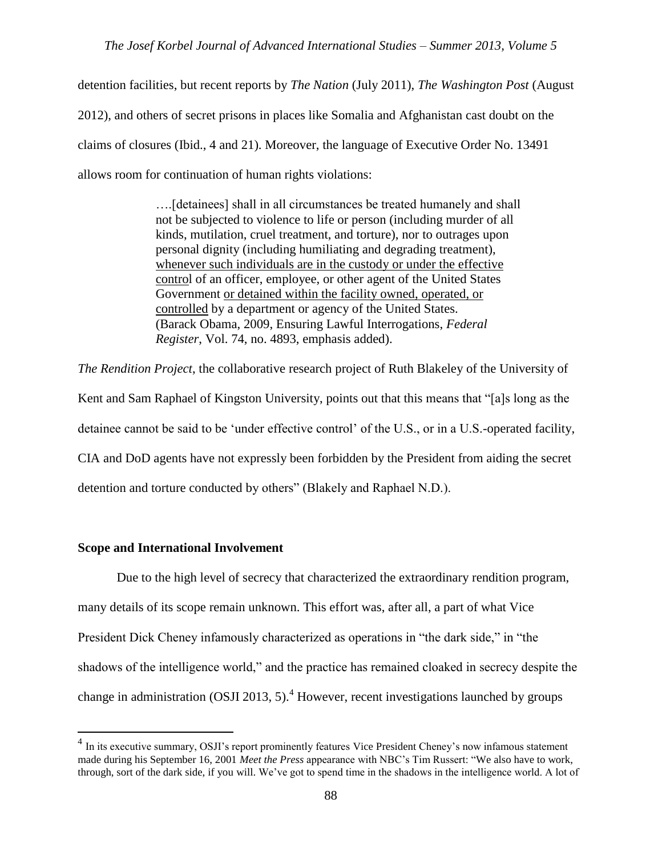detention facilities, but recent reports by *The Nation* (July 2011), *The Washington Post* (August 2012), and others of secret prisons in places like Somalia and Afghanistan cast doubt on the claims of closures (Ibid., 4 and 21). Moreover, the language of Executive Order No. 13491 allows room for continuation of human rights violations:

> ….[detainees] shall in all circumstances be treated humanely and shall not be subjected to violence to life or person (including murder of all kinds, mutilation, cruel treatment, and torture), nor to outrages upon personal dignity (including humiliating and degrading treatment), whenever such individuals are in the custody or under the effective control of an officer, employee, or other agent of the United States Government or detained within the facility owned, operated, or controlled by a department or agency of the United States. (Barack Obama, 2009, Ensuring Lawful Interrogations, *Federal Register*, Vol. 74, no. 4893, emphasis added).

*The Rendition Project*, the collaborative research project of Ruth Blakeley of the University of Kent and Sam Raphael of Kingston University, points out that this means that "[a]s long as the detainee cannot be said to be 'under effective control' of the U.S., or in a U.S.-operated facility, CIA and DoD agents have not expressly been forbidden by the President from aiding the secret detention and torture conducted by others" (Blakely and Raphael N.D.).

#### **Scope and International Involvement**

 $\overline{a}$ 

Due to the high level of secrecy that characterized the extraordinary rendition program, many details of its scope remain unknown. This effort was, after all, a part of what Vice President Dick Cheney infamously characterized as operations in "the dark side," in "the shadows of the intelligence world," and the practice has remained cloaked in secrecy despite the change in administration (OSJI 2013, 5).<sup>4</sup> However, recent investigations launched by groups

<sup>&</sup>lt;sup>4</sup> In its executive summary, OSJI's report prominently features Vice President Cheney's now infamous statement made during his September 16, 2001 *Meet the Press* appearance with NBC's Tim Russert: "We also have to work, through, sort of the dark side, if you will. We've got to spend time in the shadows in the intelligence world. A lot of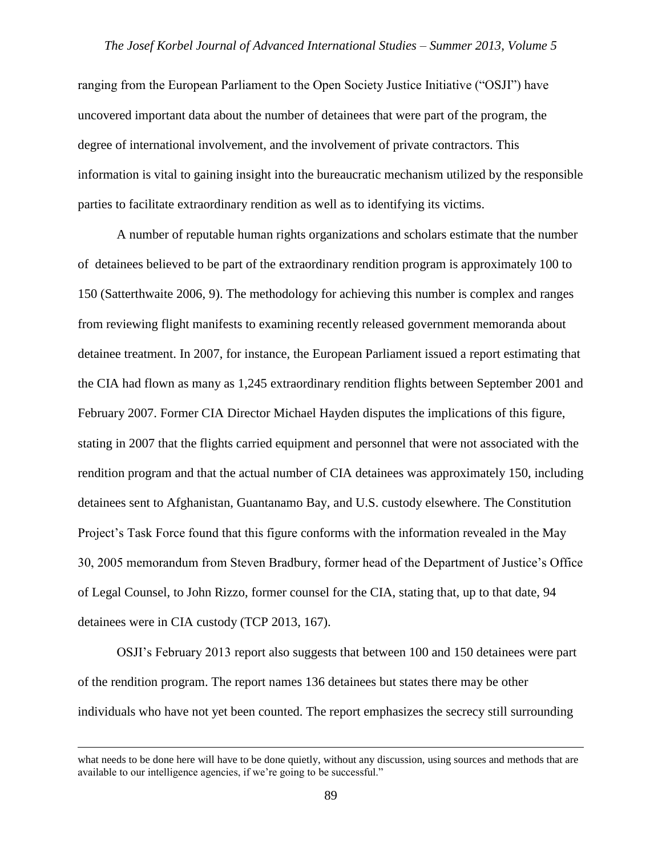ranging from the European Parliament to the Open Society Justice Initiative ("OSJI") have uncovered important data about the number of detainees that were part of the program, the degree of international involvement, and the involvement of private contractors. This information is vital to gaining insight into the bureaucratic mechanism utilized by the responsible parties to facilitate extraordinary rendition as well as to identifying its victims.

A number of reputable human rights organizations and scholars estimate that the number of detainees believed to be part of the extraordinary rendition program is approximately 100 to 150 (Satterthwaite 2006, 9). The methodology for achieving this number is complex and ranges from reviewing flight manifests to examining recently released government memoranda about detainee treatment. In 2007, for instance, the European Parliament issued a report estimating that the CIA had flown as many as 1,245 extraordinary rendition flights between September 2001 and February 2007. Former CIA Director Michael Hayden disputes the implications of this figure, stating in 2007 that the flights carried equipment and personnel that were not associated with the rendition program and that the actual number of CIA detainees was approximately 150, including detainees sent to Afghanistan, Guantanamo Bay, and U.S. custody elsewhere. The Constitution Project's Task Force found that this figure conforms with the information revealed in the May 30, 2005 memorandum from Steven Bradbury, former head of the Department of Justice's Office of Legal Counsel, to John Rizzo, former counsel for the CIA, stating that, up to that date, 94 detainees were in CIA custody (TCP 2013, 167).

OSJI's February 2013 report also suggests that between 100 and 150 detainees were part of the rendition program. The report names 136 detainees but states there may be other individuals who have not yet been counted. The report emphasizes the secrecy still surrounding

 $\overline{a}$ 

what needs to be done here will have to be done quietly, without any discussion, using sources and methods that are available to our intelligence agencies, if we're going to be successful."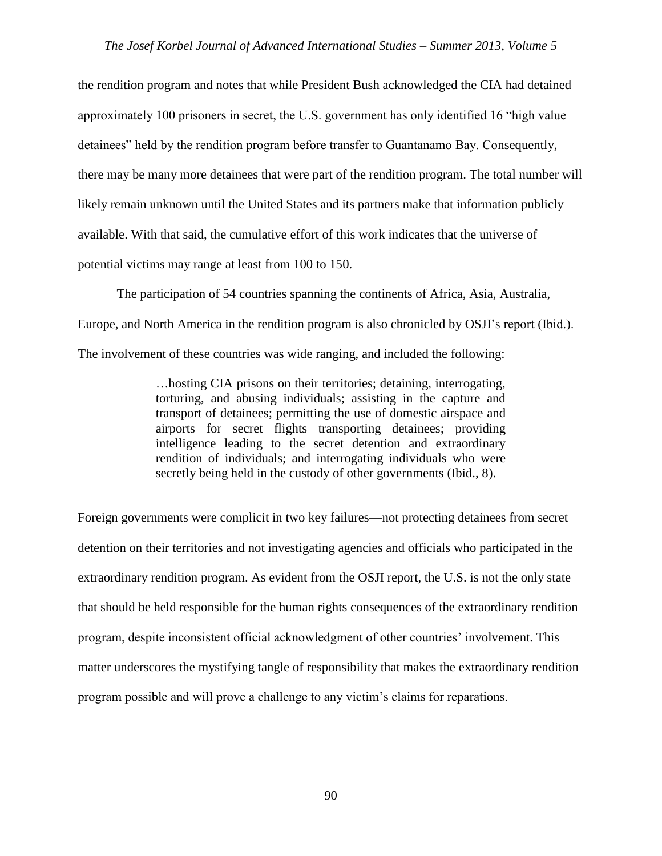the rendition program and notes that while President Bush acknowledged the CIA had detained approximately 100 prisoners in secret, the U.S. government has only identified 16 "high value detainees" held by the rendition program before transfer to Guantanamo Bay. Consequently, there may be many more detainees that were part of the rendition program. The total number will likely remain unknown until the United States and its partners make that information publicly available. With that said, the cumulative effort of this work indicates that the universe of potential victims may range at least from 100 to 150.

The participation of 54 countries spanning the continents of Africa, Asia, Australia, Europe, and North America in the rendition program is also chronicled by OSJI's report (Ibid.). The involvement of these countries was wide ranging, and included the following:

> …hosting CIA prisons on their territories; detaining, interrogating, torturing, and abusing individuals; assisting in the capture and transport of detainees; permitting the use of domestic airspace and airports for secret flights transporting detainees; providing intelligence leading to the secret detention and extraordinary rendition of individuals; and interrogating individuals who were secretly being held in the custody of other governments (Ibid., 8).

Foreign governments were complicit in two key failures—not protecting detainees from secret detention on their territories and not investigating agencies and officials who participated in the extraordinary rendition program. As evident from the OSJI report, the U.S. is not the only state that should be held responsible for the human rights consequences of the extraordinary rendition program, despite inconsistent official acknowledgment of other countries' involvement. This matter underscores the mystifying tangle of responsibility that makes the extraordinary rendition program possible and will prove a challenge to any victim's claims for reparations.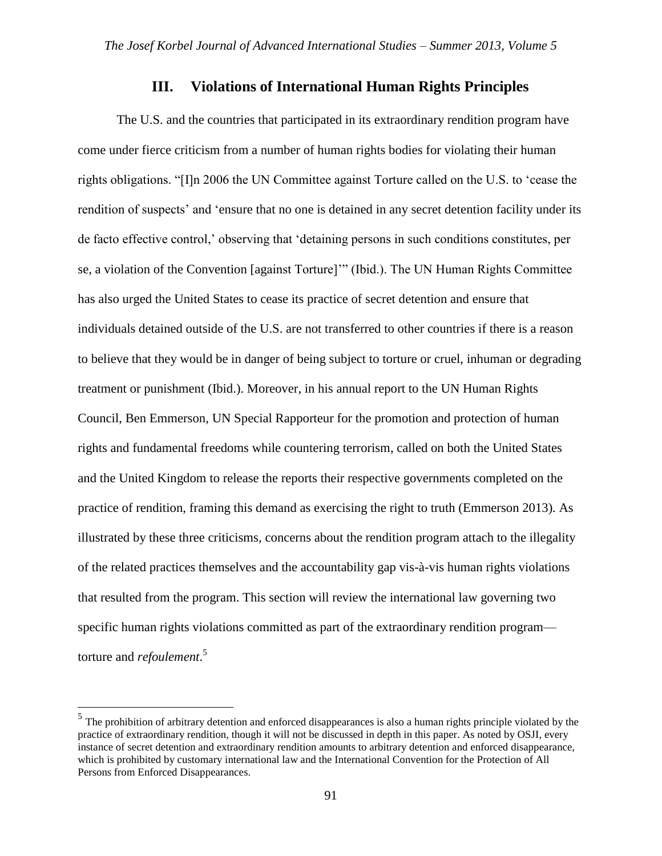#### **III. Violations of International Human Rights Principles**

The U.S. and the countries that participated in its extraordinary rendition program have come under fierce criticism from a number of human rights bodies for violating their human rights obligations. "[I]n 2006 the UN Committee against Torture called on the U.S. to 'cease the rendition of suspects' and 'ensure that no one is detained in any secret detention facility under its de facto effective control,' observing that 'detaining persons in such conditions constitutes, per se, a violation of the Convention [against Torture]'" (Ibid.). The UN Human Rights Committee has also urged the United States to cease its practice of secret detention and ensure that individuals detained outside of the U.S. are not transferred to other countries if there is a reason to believe that they would be in danger of being subject to torture or cruel, inhuman or degrading treatment or punishment (Ibid.). Moreover, in his annual report to the UN Human Rights Council, Ben Emmerson, UN Special Rapporteur for the promotion and protection of human rights and fundamental freedoms while countering terrorism, called on both the United States and the United Kingdom to release the reports their respective governments completed on the practice of rendition, framing this demand as exercising the right to truth (Emmerson 2013). As illustrated by these three criticisms, concerns about the rendition program attach to the illegality of the related practices themselves and the accountability gap vis-à-vis human rights violations that resulted from the program. This section will review the international law governing two specific human rights violations committed as part of the extraordinary rendition program torture and *refoulement*. 5

 $\overline{a}$ 

 $<sup>5</sup>$  The prohibition of arbitrary detention and enforced disappearances is also a human rights principle violated by the</sup> practice of extraordinary rendition, though it will not be discussed in depth in this paper. As noted by OSJI, every instance of secret detention and extraordinary rendition amounts to arbitrary detention and enforced disappearance, which is prohibited by customary international law and the International Convention for the Protection of All Persons from Enforced Disappearances.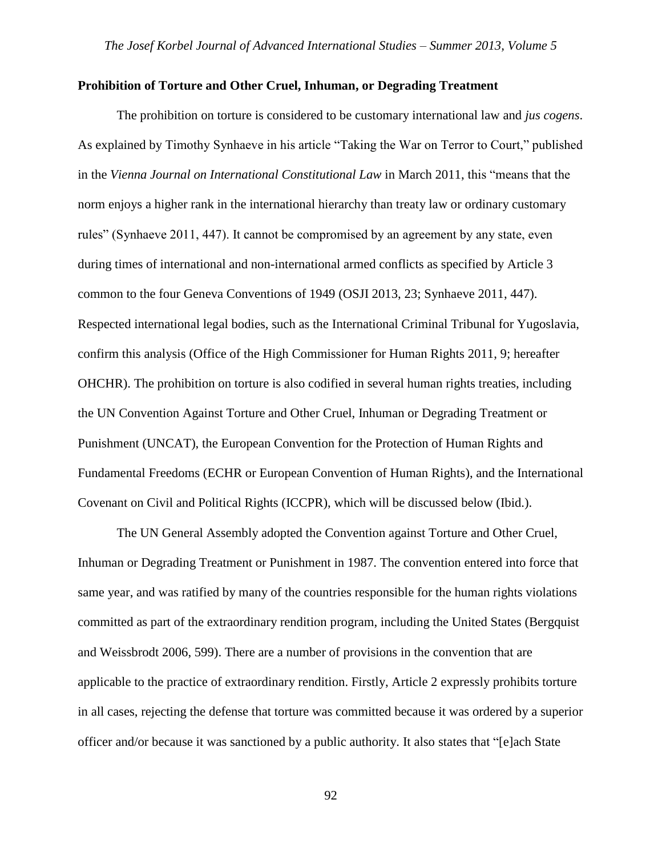#### **Prohibition of Torture and Other Cruel, Inhuman, or Degrading Treatment**

The prohibition on torture is considered to be customary international law and *jus cogens*. As explained by Timothy Synhaeve in his article "Taking the War on Terror to Court," published in the *Vienna Journal on International Constitutional Law* in March 2011, this "means that the norm enjoys a higher rank in the international hierarchy than treaty law or ordinary customary rules" (Synhaeve 2011, 447). It cannot be compromised by an agreement by any state, even during times of international and non-international armed conflicts as specified by Article 3 common to the four Geneva Conventions of 1949 (OSJI 2013, 23; Synhaeve 2011, 447). Respected international legal bodies, such as the International Criminal Tribunal for Yugoslavia, confirm this analysis (Office of the High Commissioner for Human Rights 2011, 9; hereafter OHCHR). The prohibition on torture is also codified in several human rights treaties, including the UN Convention Against Torture and Other Cruel, Inhuman or Degrading Treatment or Punishment (UNCAT), the European Convention for the Protection of Human Rights and Fundamental Freedoms (ECHR or European Convention of Human Rights), and the International Covenant on Civil and Political Rights (ICCPR), which will be discussed below (Ibid.).

The UN General Assembly adopted the Convention against Torture and Other Cruel, Inhuman or Degrading Treatment or Punishment in 1987. The convention entered into force that same year, and was ratified by many of the countries responsible for the human rights violations committed as part of the extraordinary rendition program, including the United States (Bergquist and Weissbrodt 2006, 599). There are a number of provisions in the convention that are applicable to the practice of extraordinary rendition. Firstly, Article 2 expressly prohibits torture in all cases, rejecting the defense that torture was committed because it was ordered by a superior officer and/or because it was sanctioned by a public authority. It also states that "[e]ach State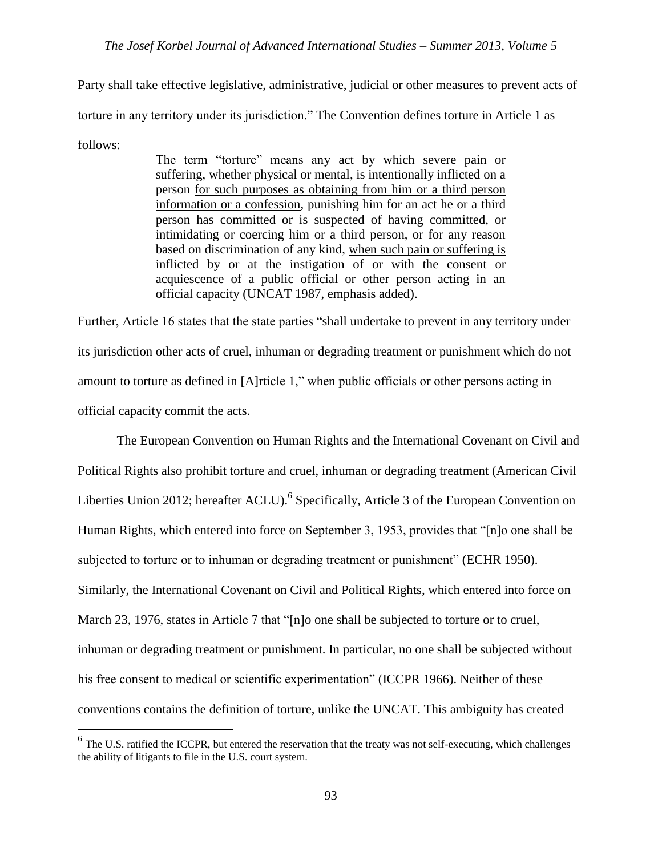Party shall take effective legislative, administrative, judicial or other measures to prevent acts of torture in any territory under its jurisdiction." The Convention defines torture in Article 1 as follows:

> The term "torture" means any act by which severe pain or suffering, whether physical or mental, is intentionally inflicted on a person for such purposes as obtaining from him or a third person information or a confession, punishing him for an act he or a third person has committed or is suspected of having committed, or intimidating or coercing him or a third person, or for any reason based on discrimination of any kind, when such pain or suffering is inflicted by or at the instigation of or with the consent or acquiescence of a public official or other person acting in an official capacity (UNCAT 1987, emphasis added).

Further, Article 16 states that the state parties "shall undertake to prevent in any territory under its jurisdiction other acts of cruel, inhuman or degrading treatment or punishment which do not amount to torture as defined in [A]rticle 1," when public officials or other persons acting in official capacity commit the acts.

The European Convention on Human Rights and the International Covenant on Civil and Political Rights also prohibit torture and cruel, inhuman or degrading treatment (American Civil Liberties Union 2012; hereafter ACLU).<sup>6</sup> Specifically, Article 3 of the European Convention on Human Rights, which entered into force on September 3, 1953, provides that "[n]o one shall be subjected to torture or to inhuman or degrading treatment or punishment" (ECHR 1950). Similarly, the International Covenant on Civil and Political Rights, which entered into force on March 23, 1976, states in Article 7 that "[n]o one shall be subjected to torture or to cruel, inhuman or degrading treatment or punishment. In particular, no one shall be subjected without his free consent to medical or scientific experimentation" (ICCPR 1966). Neither of these conventions contains the definition of torture, unlike the UNCAT. This ambiguity has created

 $\overline{a}$ 

 $6$  The U.S. ratified the ICCPR, but entered the reservation that the treaty was not self-executing, which challenges the ability of litigants to file in the U.S. court system.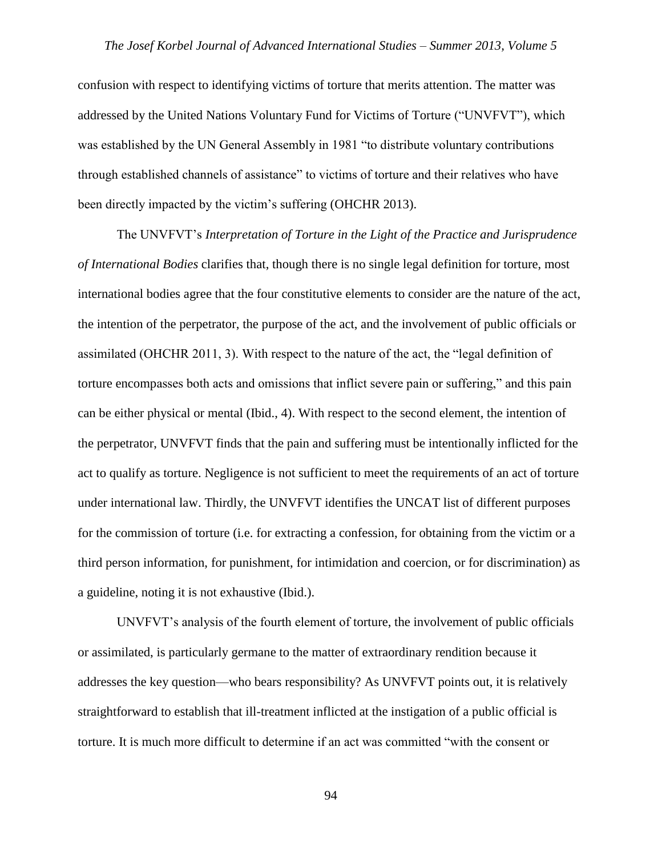confusion with respect to identifying victims of torture that merits attention. The matter was addressed by the United Nations Voluntary Fund for Victims of Torture ("UNVFVT"), which was established by the UN General Assembly in 1981 "to distribute voluntary contributions through established channels of assistance" to victims of torture and their relatives who have been directly impacted by the victim's suffering (OHCHR 2013).

The UNVFVT's *Interpretation of Torture in the Light of the Practice and Jurisprudence of International Bodies* clarifies that, though there is no single legal definition for torture, most international bodies agree that the four constitutive elements to consider are the nature of the act, the intention of the perpetrator, the purpose of the act, and the involvement of public officials or assimilated (OHCHR 2011, 3). With respect to the nature of the act, the "legal definition of torture encompasses both acts and omissions that inflict severe pain or suffering," and this pain can be either physical or mental (Ibid., 4). With respect to the second element, the intention of the perpetrator, UNVFVT finds that the pain and suffering must be intentionally inflicted for the act to qualify as torture. Negligence is not sufficient to meet the requirements of an act of torture under international law. Thirdly, the UNVFVT identifies the UNCAT list of different purposes for the commission of torture (i.e. for extracting a confession, for obtaining from the victim or a third person information, for punishment, for intimidation and coercion, or for discrimination) as a guideline, noting it is not exhaustive (Ibid.).

UNVFVT's analysis of the fourth element of torture, the involvement of public officials or assimilated, is particularly germane to the matter of extraordinary rendition because it addresses the key question—who bears responsibility? As UNVFVT points out, it is relatively straightforward to establish that ill-treatment inflicted at the instigation of a public official is torture. It is much more difficult to determine if an act was committed "with the consent or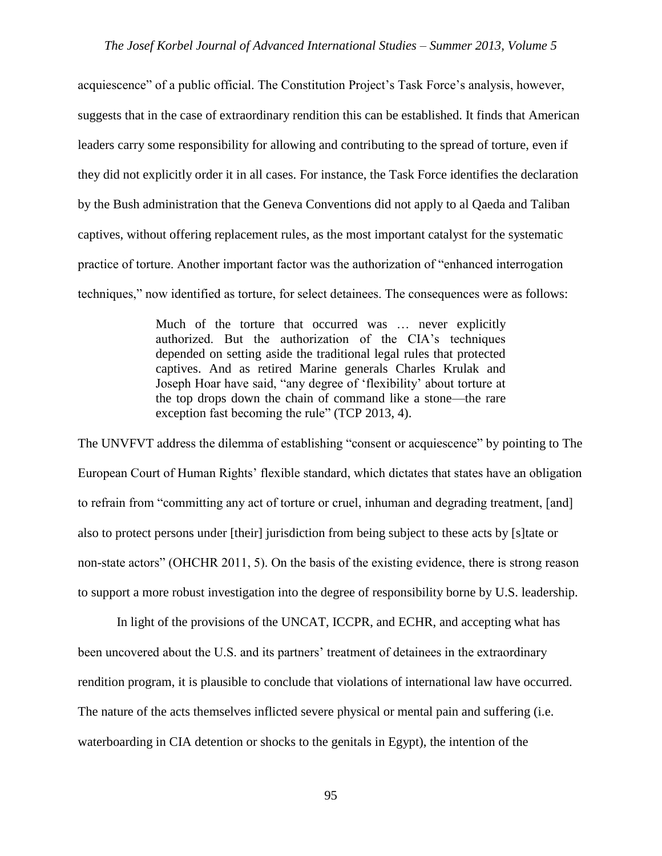acquiescence" of a public official. The Constitution Project's Task Force's analysis, however, suggests that in the case of extraordinary rendition this can be established. It finds that American leaders carry some responsibility for allowing and contributing to the spread of torture, even if they did not explicitly order it in all cases. For instance, the Task Force identifies the declaration by the Bush administration that the Geneva Conventions did not apply to al Qaeda and Taliban captives, without offering replacement rules, as the most important catalyst for the systematic practice of torture. Another important factor was the authorization of "enhanced interrogation techniques," now identified as torture, for select detainees. The consequences were as follows:

> Much of the torture that occurred was … never explicitly authorized. But the authorization of the CIA's techniques depended on setting aside the traditional legal rules that protected captives. And as retired Marine generals Charles Krulak and Joseph Hoar have said, "any degree of 'flexibility' about torture at the top drops down the chain of command like a stone—the rare exception fast becoming the rule" (TCP 2013, 4).

The UNVFVT address the dilemma of establishing "consent or acquiescence" by pointing to The European Court of Human Rights' flexible standard, which dictates that states have an obligation to refrain from "committing any act of torture or cruel, inhuman and degrading treatment, [and] also to protect persons under [their] jurisdiction from being subject to these acts by [s]tate or non-state actors" (OHCHR 2011, 5). On the basis of the existing evidence, there is strong reason to support a more robust investigation into the degree of responsibility borne by U.S. leadership.

In light of the provisions of the UNCAT, ICCPR, and ECHR, and accepting what has been uncovered about the U.S. and its partners' treatment of detainees in the extraordinary rendition program, it is plausible to conclude that violations of international law have occurred. The nature of the acts themselves inflicted severe physical or mental pain and suffering (i.e. waterboarding in CIA detention or shocks to the genitals in Egypt), the intention of the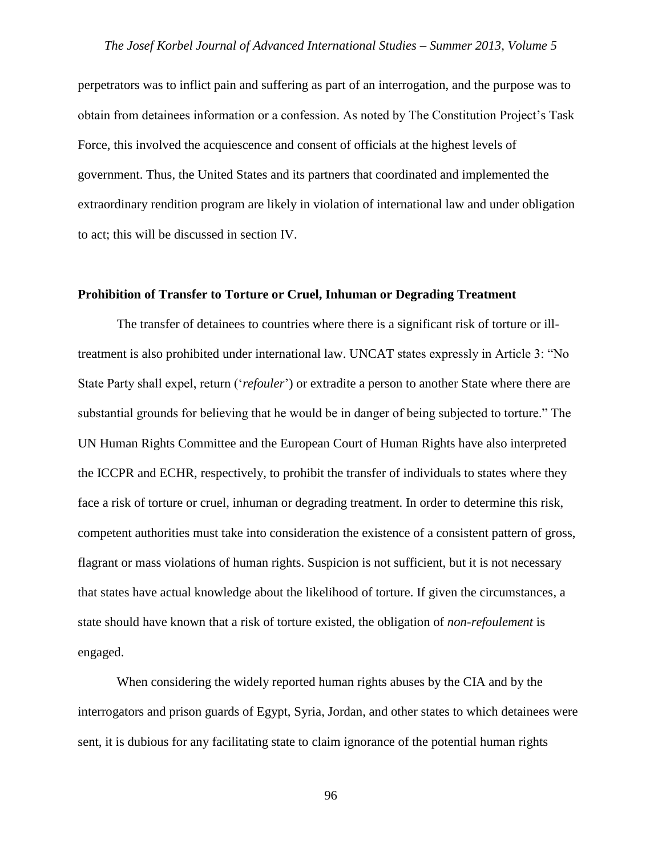perpetrators was to inflict pain and suffering as part of an interrogation, and the purpose was to obtain from detainees information or a confession. As noted by The Constitution Project's Task Force, this involved the acquiescence and consent of officials at the highest levels of government. Thus, the United States and its partners that coordinated and implemented the extraordinary rendition program are likely in violation of international law and under obligation to act; this will be discussed in section IV.

#### **Prohibition of Transfer to Torture or Cruel, Inhuman or Degrading Treatment**

The transfer of detainees to countries where there is a significant risk of torture or illtreatment is also prohibited under international law. UNCAT states expressly in Article 3: "No State Party shall expel, return ('*refouler*') or extradite a person to another State where there are substantial grounds for believing that he would be in danger of being subjected to torture." The UN Human Rights Committee and the European Court of Human Rights have also interpreted the ICCPR and ECHR, respectively, to prohibit the transfer of individuals to states where they face a risk of torture or cruel, inhuman or degrading treatment. In order to determine this risk, competent authorities must take into consideration the existence of a consistent pattern of gross, flagrant or mass violations of human rights. Suspicion is not sufficient, but it is not necessary that states have actual knowledge about the likelihood of torture. If given the circumstances, a state should have known that a risk of torture existed, the obligation of *non-refoulement* is engaged.

When considering the widely reported human rights abuses by the CIA and by the interrogators and prison guards of Egypt, Syria, Jordan, and other states to which detainees were sent, it is dubious for any facilitating state to claim ignorance of the potential human rights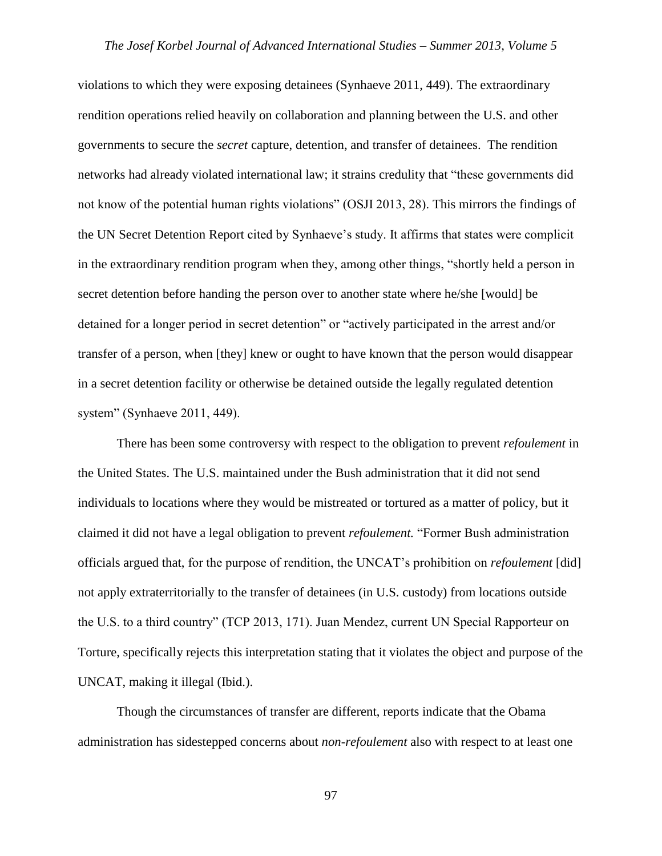violations to which they were exposing detainees (Synhaeve 2011, 449). The extraordinary rendition operations relied heavily on collaboration and planning between the U.S. and other governments to secure the *secret* capture, detention, and transfer of detainees. The rendition networks had already violated international law; it strains credulity that "these governments did not know of the potential human rights violations" (OSJI 2013, 28). This mirrors the findings of the UN Secret Detention Report cited by Synhaeve's study. It affirms that states were complicit in the extraordinary rendition program when they, among other things, "shortly held a person in secret detention before handing the person over to another state where he/she [would] be detained for a longer period in secret detention" or "actively participated in the arrest and/or transfer of a person, when [they] knew or ought to have known that the person would disappear in a secret detention facility or otherwise be detained outside the legally regulated detention system" (Synhaeve 2011, 449).

There has been some controversy with respect to the obligation to prevent *refoulement* in the United States. The U.S. maintained under the Bush administration that it did not send individuals to locations where they would be mistreated or tortured as a matter of policy, but it claimed it did not have a legal obligation to prevent *refoulement.* "Former Bush administration officials argued that, for the purpose of rendition, the UNCAT's prohibition on *refoulement* [did] not apply extraterritorially to the transfer of detainees (in U.S. custody) from locations outside the U.S. to a third country" (TCP 2013, 171). Juan Mendez, current UN Special Rapporteur on Torture, specifically rejects this interpretation stating that it violates the object and purpose of the UNCAT, making it illegal (Ibid.).

Though the circumstances of transfer are different, reports indicate that the Obama administration has sidestepped concerns about *non-refoulement* also with respect to at least one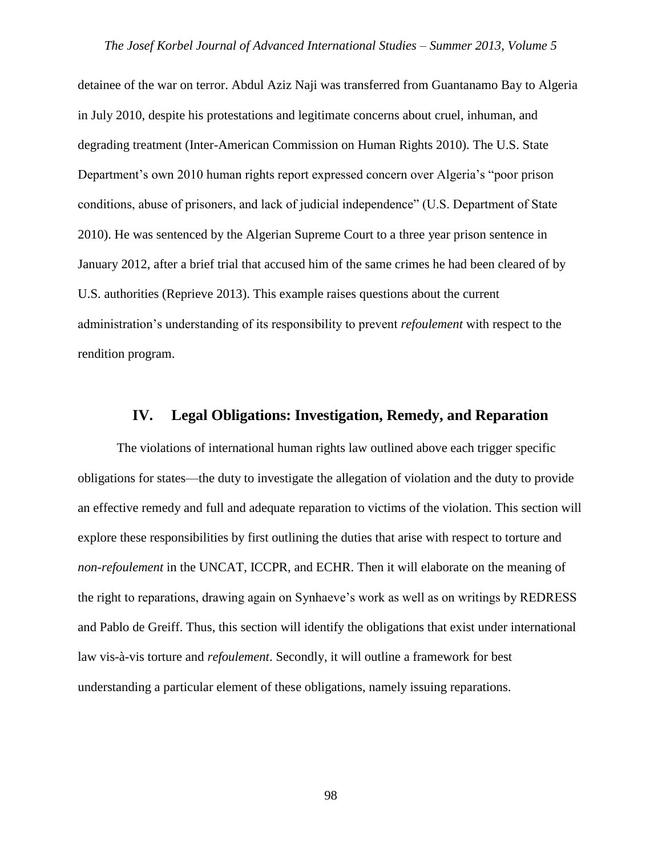detainee of the war on terror. Abdul Aziz Naji was transferred from Guantanamo Bay to Algeria in July 2010, despite his protestations and legitimate concerns about cruel, inhuman, and degrading treatment (Inter-American Commission on Human Rights 2010). The U.S. State Department's own 2010 human rights report expressed concern over Algeria's "poor prison conditions, abuse of prisoners, and lack of judicial independence" (U.S. Department of State 2010). He was sentenced by the Algerian Supreme Court to a three year prison sentence in January 2012, after a brief trial that accused him of the same crimes he had been cleared of by U.S. authorities (Reprieve 2013). This example raises questions about the current administration's understanding of its responsibility to prevent *refoulement* with respect to the rendition program.

#### **IV. Legal Obligations: Investigation, Remedy, and Reparation**

The violations of international human rights law outlined above each trigger specific obligations for states—the duty to investigate the allegation of violation and the duty to provide an effective remedy and full and adequate reparation to victims of the violation. This section will explore these responsibilities by first outlining the duties that arise with respect to torture and *non-refoulement* in the UNCAT, ICCPR, and ECHR. Then it will elaborate on the meaning of the right to reparations, drawing again on Synhaeve's work as well as on writings by REDRESS and Pablo de Greiff. Thus, this section will identify the obligations that exist under international law vis-à-vis torture and *refoulement*. Secondly, it will outline a framework for best understanding a particular element of these obligations, namely issuing reparations.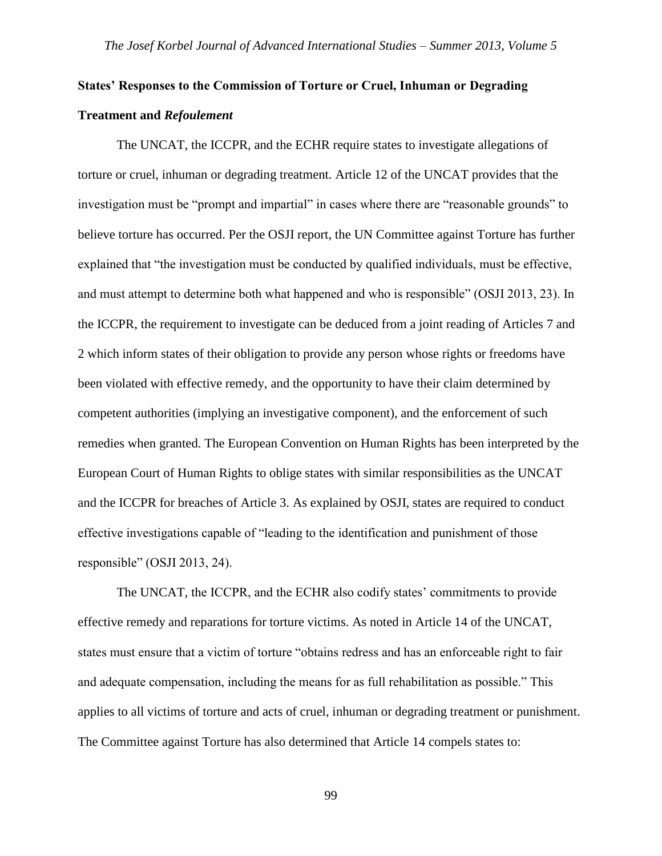# **States' Responses to the Commission of Torture or Cruel, Inhuman or Degrading Treatment and** *Refoulement*

The UNCAT, the ICCPR, and the ECHR require states to investigate allegations of torture or cruel, inhuman or degrading treatment. Article 12 of the UNCAT provides that the investigation must be "prompt and impartial" in cases where there are "reasonable grounds" to believe torture has occurred. Per the OSJI report, the UN Committee against Torture has further explained that "the investigation must be conducted by qualified individuals, must be effective, and must attempt to determine both what happened and who is responsible" (OSJI 2013, 23). In the ICCPR, the requirement to investigate can be deduced from a joint reading of Articles 7 and 2 which inform states of their obligation to provide any person whose rights or freedoms have been violated with effective remedy, and the opportunity to have their claim determined by competent authorities (implying an investigative component), and the enforcement of such remedies when granted. The European Convention on Human Rights has been interpreted by the European Court of Human Rights to oblige states with similar responsibilities as the UNCAT and the ICCPR for breaches of Article 3. As explained by OSJI, states are required to conduct effective investigations capable of "leading to the identification and punishment of those responsible" (OSJI 2013, 24).

The UNCAT, the ICCPR, and the ECHR also codify states' commitments to provide effective remedy and reparations for torture victims. As noted in Article 14 of the UNCAT, states must ensure that a victim of torture "obtains redress and has an enforceable right to fair and adequate compensation, including the means for as full rehabilitation as possible." This applies to all victims of torture and acts of cruel, inhuman or degrading treatment or punishment. The Committee against Torture has also determined that Article 14 compels states to: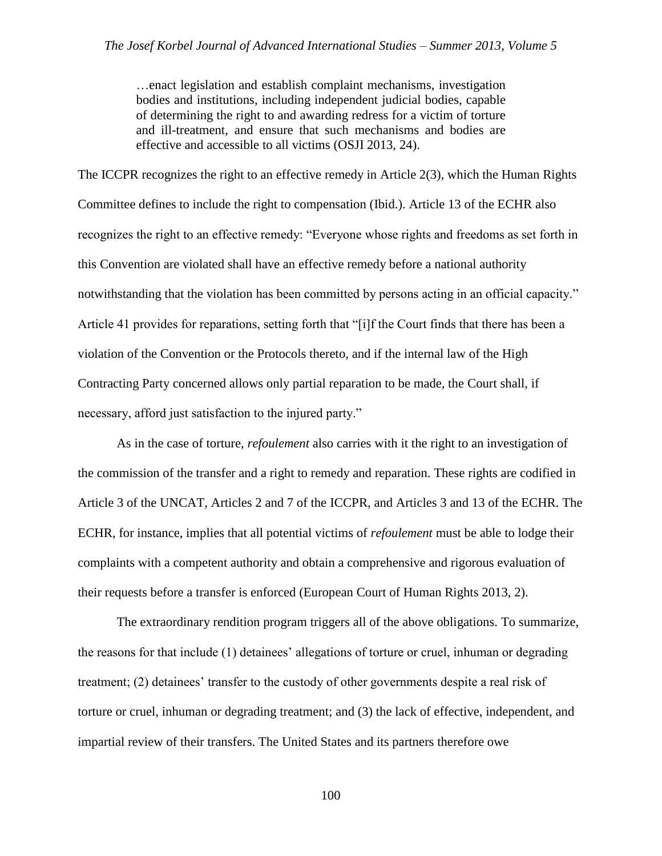…enact legislation and establish complaint mechanisms, investigation bodies and institutions, including independent judicial bodies, capable of determining the right to and awarding redress for a victim of torture and ill-treatment, and ensure that such mechanisms and bodies are effective and accessible to all victims (OSJI 2013, 24).

The ICCPR recognizes the right to an effective remedy in Article 2(3), which the Human Rights Committee defines to include the right to compensation (Ibid.). Article 13 of the ECHR also recognizes the right to an effective remedy: "Everyone whose rights and freedoms as set forth in this Convention are violated shall have an effective remedy before a national authority notwithstanding that the violation has been committed by persons acting in an official capacity." Article 41 provides for reparations, setting forth that "[i]f the Court finds that there has been a violation of the Convention or the Protocols thereto, and if the internal law of the High Contracting Party concerned allows only partial reparation to be made, the Court shall, if necessary, afford just satisfaction to the injured party."

As in the case of torture, *refoulement* also carries with it the right to an investigation of the commission of the transfer and a right to remedy and reparation. These rights are codified in Article 3 of the UNCAT, Articles 2 and 7 of the ICCPR, and Articles 3 and 13 of the ECHR. The ECHR, for instance, implies that all potential victims of *refoulement* must be able to lodge their complaints with a competent authority and obtain a comprehensive and rigorous evaluation of their requests before a transfer is enforced (European Court of Human Rights 2013, 2).

The extraordinary rendition program triggers all of the above obligations. To summarize, the reasons for that include (1) detainees' allegations of torture or cruel, inhuman or degrading treatment; (2) detainees' transfer to the custody of other governments despite a real risk of torture or cruel, inhuman or degrading treatment; and (3) the lack of effective, independent, and impartial review of their transfers. The United States and its partners therefore owe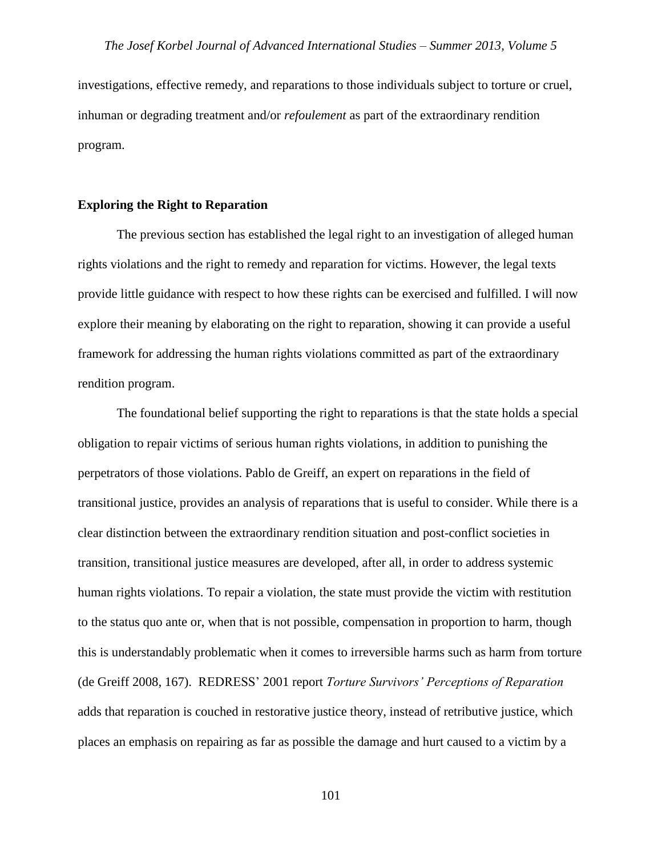investigations, effective remedy, and reparations to those individuals subject to torture or cruel, inhuman or degrading treatment and/or *refoulement* as part of the extraordinary rendition program.

#### **Exploring the Right to Reparation**

The previous section has established the legal right to an investigation of alleged human rights violations and the right to remedy and reparation for victims. However, the legal texts provide little guidance with respect to how these rights can be exercised and fulfilled. I will now explore their meaning by elaborating on the right to reparation, showing it can provide a useful framework for addressing the human rights violations committed as part of the extraordinary rendition program.

The foundational belief supporting the right to reparations is that the state holds a special obligation to repair victims of serious human rights violations, in addition to punishing the perpetrators of those violations. Pablo de Greiff, an expert on reparations in the field of transitional justice, provides an analysis of reparations that is useful to consider. While there is a clear distinction between the extraordinary rendition situation and post-conflict societies in transition, transitional justice measures are developed, after all, in order to address systemic human rights violations. To repair a violation, the state must provide the victim with restitution to the status quo ante or, when that is not possible, compensation in proportion to harm, though this is understandably problematic when it comes to irreversible harms such as harm from torture (de Greiff 2008, 167). REDRESS' 2001 report *Torture Survivors' Perceptions of Reparation* adds that reparation is couched in restorative justice theory, instead of retributive justice, which places an emphasis on repairing as far as possible the damage and hurt caused to a victim by a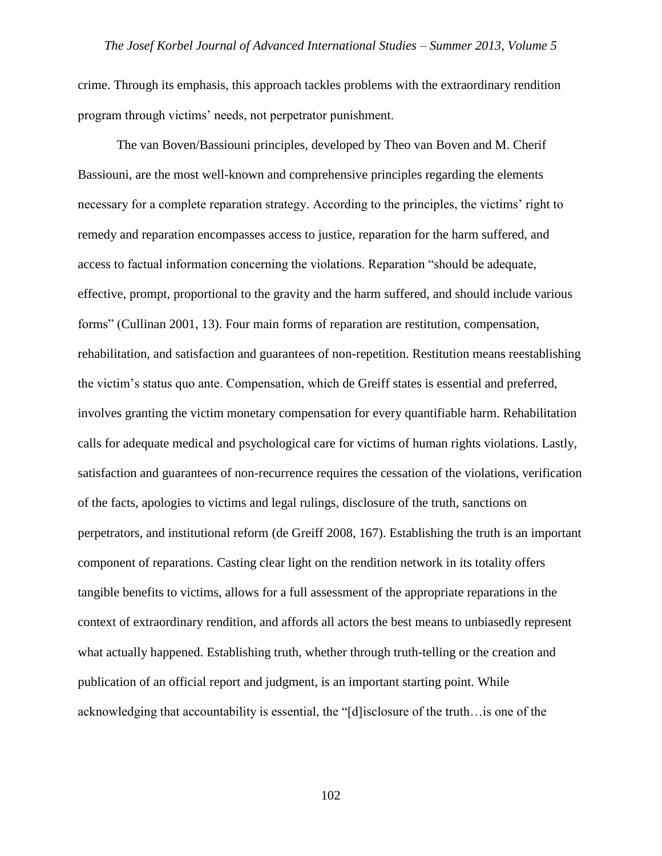crime. Through its emphasis, this approach tackles problems with the extraordinary rendition program through victims' needs, not perpetrator punishment.

The van Boven/Bassiouni principles, developed by Theo van Boven and M. Cherif Bassiouni, are the most well-known and comprehensive principles regarding the elements necessary for a complete reparation strategy. According to the principles, the victims' right to remedy and reparation encompasses access to justice, reparation for the harm suffered, and access to factual information concerning the violations. Reparation "should be adequate, effective, prompt, proportional to the gravity and the harm suffered, and should include various forms" (Cullinan 2001, 13). Four main forms of reparation are restitution, compensation, rehabilitation, and satisfaction and guarantees of non-repetition. Restitution means reestablishing the victim's status quo ante. Compensation, which de Greiff states is essential and preferred, involves granting the victim monetary compensation for every quantifiable harm. Rehabilitation calls for adequate medical and psychological care for victims of human rights violations. Lastly, satisfaction and guarantees of non-recurrence requires the cessation of the violations, verification of the facts, apologies to victims and legal rulings, disclosure of the truth, sanctions on perpetrators, and institutional reform (de Greiff 2008, 167). Establishing the truth is an important component of reparations. Casting clear light on the rendition network in its totality offers tangible benefits to victims, allows for a full assessment of the appropriate reparations in the context of extraordinary rendition, and affords all actors the best means to unbiasedly represent what actually happened. Establishing truth, whether through truth-telling or the creation and publication of an official report and judgment, is an important starting point. While acknowledging that accountability is essential, the "[d]isclosure of the truth…is one of the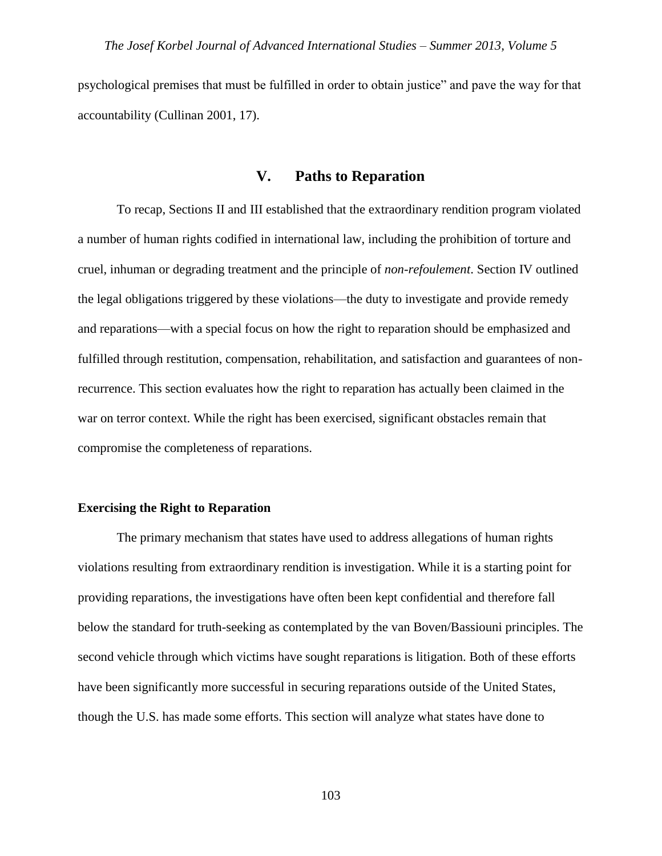psychological premises that must be fulfilled in order to obtain justice" and pave the way for that accountability (Cullinan 2001, 17).

## **V. Paths to Reparation**

To recap, Sections II and III established that the extraordinary rendition program violated a number of human rights codified in international law, including the prohibition of torture and cruel, inhuman or degrading treatment and the principle of *non-refoulement*. Section IV outlined the legal obligations triggered by these violations—the duty to investigate and provide remedy and reparations—with a special focus on how the right to reparation should be emphasized and fulfilled through restitution, compensation, rehabilitation, and satisfaction and guarantees of nonrecurrence. This section evaluates how the right to reparation has actually been claimed in the war on terror context. While the right has been exercised, significant obstacles remain that compromise the completeness of reparations.

#### **Exercising the Right to Reparation**

The primary mechanism that states have used to address allegations of human rights violations resulting from extraordinary rendition is investigation. While it is a starting point for providing reparations, the investigations have often been kept confidential and therefore fall below the standard for truth-seeking as contemplated by the van Boven/Bassiouni principles. The second vehicle through which victims have sought reparations is litigation. Both of these efforts have been significantly more successful in securing reparations outside of the United States, though the U.S. has made some efforts. This section will analyze what states have done to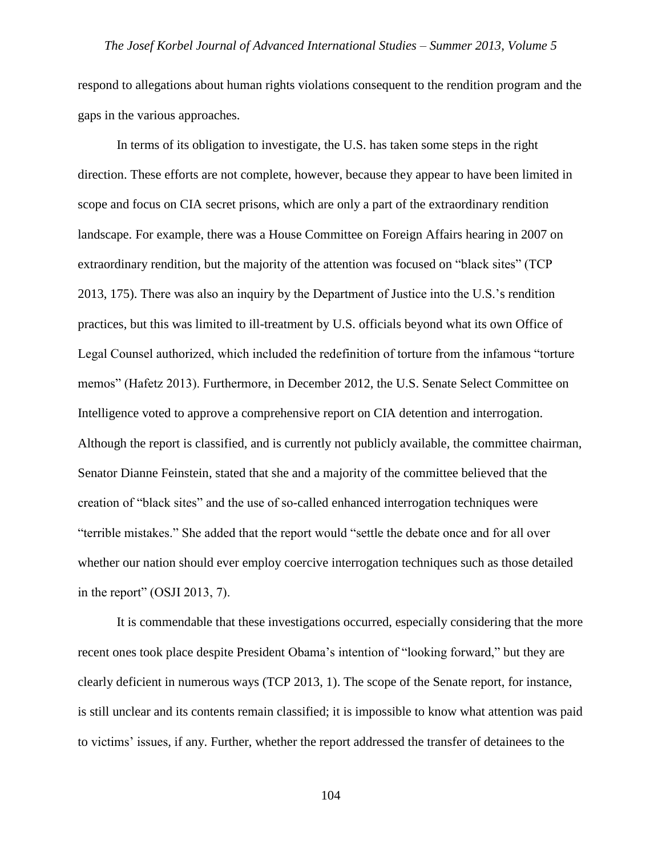respond to allegations about human rights violations consequent to the rendition program and the gaps in the various approaches.

In terms of its obligation to investigate, the U.S. has taken some steps in the right direction. These efforts are not complete, however, because they appear to have been limited in scope and focus on CIA secret prisons, which are only a part of the extraordinary rendition landscape. For example, there was a House Committee on Foreign Affairs hearing in 2007 on extraordinary rendition, but the majority of the attention was focused on "black sites" (TCP 2013, 175). There was also an inquiry by the Department of Justice into the U.S.'s rendition practices, but this was limited to ill-treatment by U.S. officials beyond what its own Office of Legal Counsel authorized, which included the redefinition of torture from the infamous "torture memos" (Hafetz 2013). Furthermore, in December 2012, the U.S. Senate Select Committee on Intelligence voted to approve a comprehensive report on CIA detention and interrogation. Although the report is classified, and is currently not publicly available, the committee chairman, Senator Dianne Feinstein, stated that she and a majority of the committee believed that the creation of "black sites" and the use of so-called enhanced interrogation techniques were "terrible mistakes." She added that the report would "settle the debate once and for all over whether our nation should ever employ coercive interrogation techniques such as those detailed in the report" (OSJI 2013, 7).

It is commendable that these investigations occurred, especially considering that the more recent ones took place despite President Obama's intention of "looking forward," but they are clearly deficient in numerous ways (TCP 2013, 1). The scope of the Senate report, for instance, is still unclear and its contents remain classified; it is impossible to know what attention was paid to victims' issues, if any. Further, whether the report addressed the transfer of detainees to the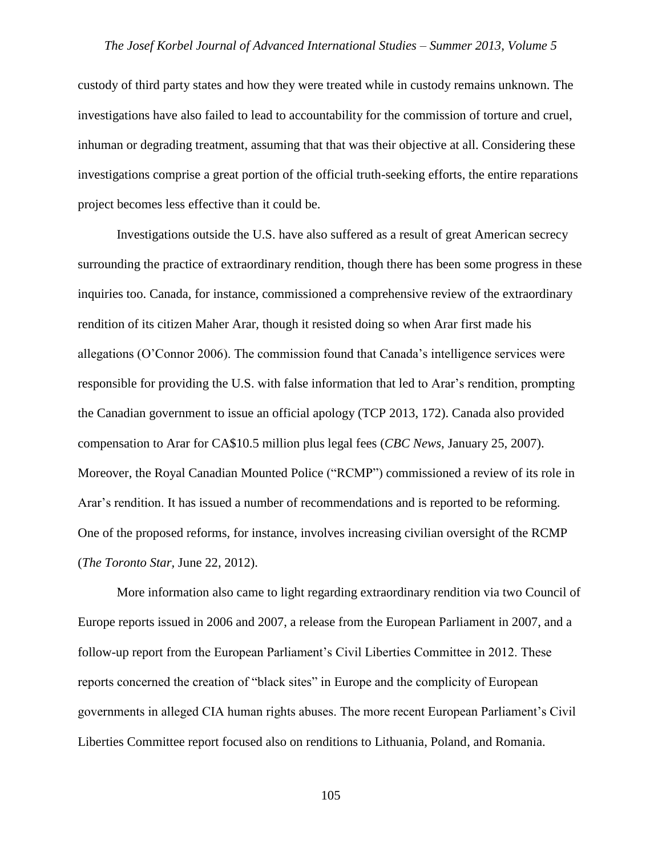custody of third party states and how they were treated while in custody remains unknown. The investigations have also failed to lead to accountability for the commission of torture and cruel, inhuman or degrading treatment, assuming that that was their objective at all. Considering these investigations comprise a great portion of the official truth-seeking efforts, the entire reparations project becomes less effective than it could be.

Investigations outside the U.S. have also suffered as a result of great American secrecy surrounding the practice of extraordinary rendition, though there has been some progress in these inquiries too. Canada, for instance, commissioned a comprehensive review of the extraordinary rendition of its citizen Maher Arar, though it resisted doing so when Arar first made his allegations (O'Connor 2006). The commission found that Canada's intelligence services were responsible for providing the U.S. with false information that led to Arar's rendition, prompting the Canadian government to issue an official apology (TCP 2013, 172). Canada also provided compensation to Arar for CA\$10.5 million plus legal fees (*CBC News,* January 25, 2007). Moreover, the Royal Canadian Mounted Police ("RCMP") commissioned a review of its role in Arar's rendition. It has issued a number of recommendations and is reported to be reforming. One of the proposed reforms, for instance, involves increasing civilian oversight of the RCMP (*The Toronto Star,* June 22, 2012).

More information also came to light regarding extraordinary rendition via two Council of Europe reports issued in 2006 and 2007, a release from the European Parliament in 2007, and a follow-up report from the European Parliament's Civil Liberties Committee in 2012. These reports concerned the creation of "black sites" in Europe and the complicity of European governments in alleged CIA human rights abuses. The more recent European Parliament's Civil Liberties Committee report focused also on renditions to Lithuania, Poland, and Romania.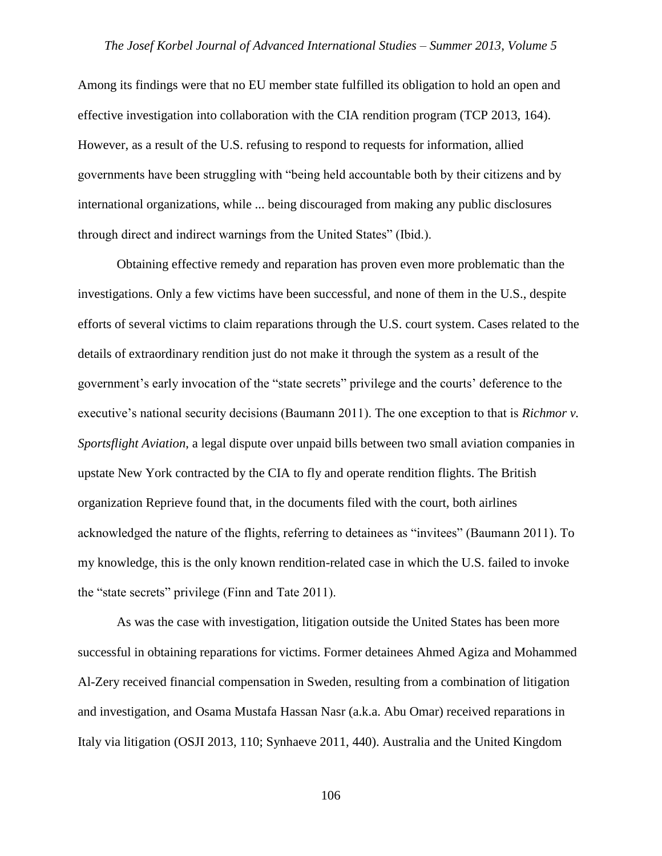Among its findings were that no EU member state fulfilled its obligation to hold an open and effective investigation into collaboration with the CIA rendition program (TCP 2013, 164). However, as a result of the U.S. refusing to respond to requests for information, allied governments have been struggling with "being held accountable both by their citizens and by international organizations, while ... being discouraged from making any public disclosures through direct and indirect warnings from the United States" (Ibid.).

Obtaining effective remedy and reparation has proven even more problematic than the investigations. Only a few victims have been successful, and none of them in the U.S., despite efforts of several victims to claim reparations through the U.S. court system. Cases related to the details of extraordinary rendition just do not make it through the system as a result of the government's early invocation of the "state secrets" privilege and the courts' deference to the executive's national security decisions (Baumann 2011). The one exception to that is *Richmor v. Sportsflight Aviation*, a legal dispute over unpaid bills between two small aviation companies in upstate New York contracted by the CIA to fly and operate rendition flights. The British organization Reprieve found that, in the documents filed with the court, both airlines acknowledged the nature of the flights, referring to detainees as "invitees" (Baumann 2011). To my knowledge, this is the only known rendition-related case in which the U.S. failed to invoke the "state secrets" privilege (Finn and Tate 2011).

As was the case with investigation, litigation outside the United States has been more successful in obtaining reparations for victims. Former detainees Ahmed Agiza and Mohammed Al-Zery received financial compensation in Sweden, resulting from a combination of litigation and investigation, and Osama Mustafa Hassan Nasr (a.k.a. Abu Omar) received reparations in Italy via litigation (OSJI 2013, 110; Synhaeve 2011, 440). Australia and the United Kingdom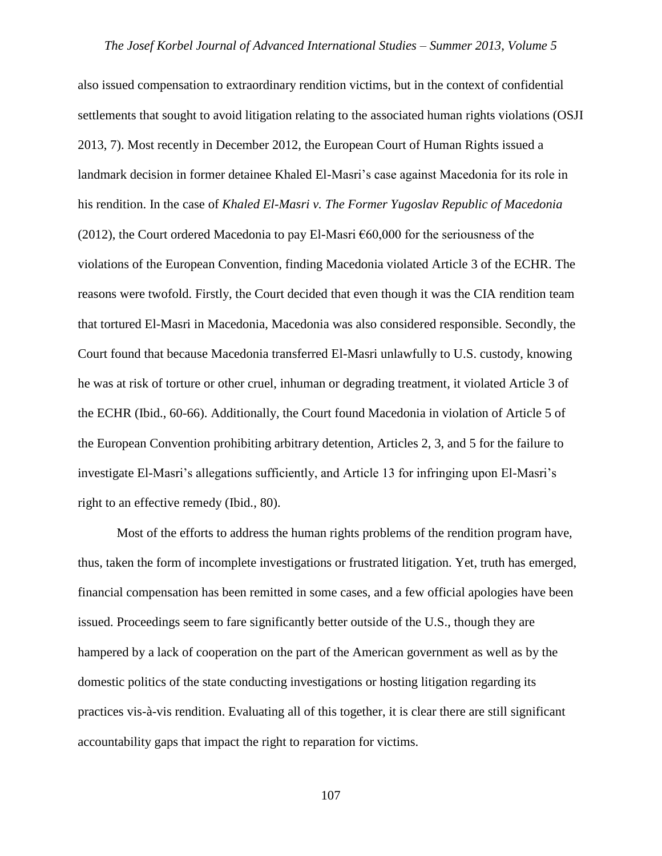also issued compensation to extraordinary rendition victims, but in the context of confidential settlements that sought to avoid litigation relating to the associated human rights violations (OSJI 2013, 7). Most recently in December 2012, the European Court of Human Rights issued a landmark decision in former detainee Khaled El-Masri's case against Macedonia for its role in his rendition. In the case of *Khaled El-Masri v. The Former Yugoslav Republic of Macedonia* (2012), the Court ordered Macedonia to pay El-Masri  $\epsilon$ 60,000 for the seriousness of the violations of the European Convention, finding Macedonia violated Article 3 of the ECHR. The reasons were twofold. Firstly, the Court decided that even though it was the CIA rendition team that tortured El-Masri in Macedonia, Macedonia was also considered responsible. Secondly, the Court found that because Macedonia transferred El-Masri unlawfully to U.S. custody, knowing he was at risk of torture or other cruel, inhuman or degrading treatment, it violated Article 3 of the ECHR (Ibid., 60-66). Additionally, the Court found Macedonia in violation of Article 5 of the European Convention prohibiting arbitrary detention, Articles 2, 3, and 5 for the failure to investigate El-Masri's allegations sufficiently, and Article 13 for infringing upon El-Masri's right to an effective remedy (Ibid., 80).

Most of the efforts to address the human rights problems of the rendition program have, thus, taken the form of incomplete investigations or frustrated litigation. Yet, truth has emerged, financial compensation has been remitted in some cases, and a few official apologies have been issued. Proceedings seem to fare significantly better outside of the U.S., though they are hampered by a lack of cooperation on the part of the American government as well as by the domestic politics of the state conducting investigations or hosting litigation regarding its practices vis-à-vis rendition. Evaluating all of this together, it is clear there are still significant accountability gaps that impact the right to reparation for victims.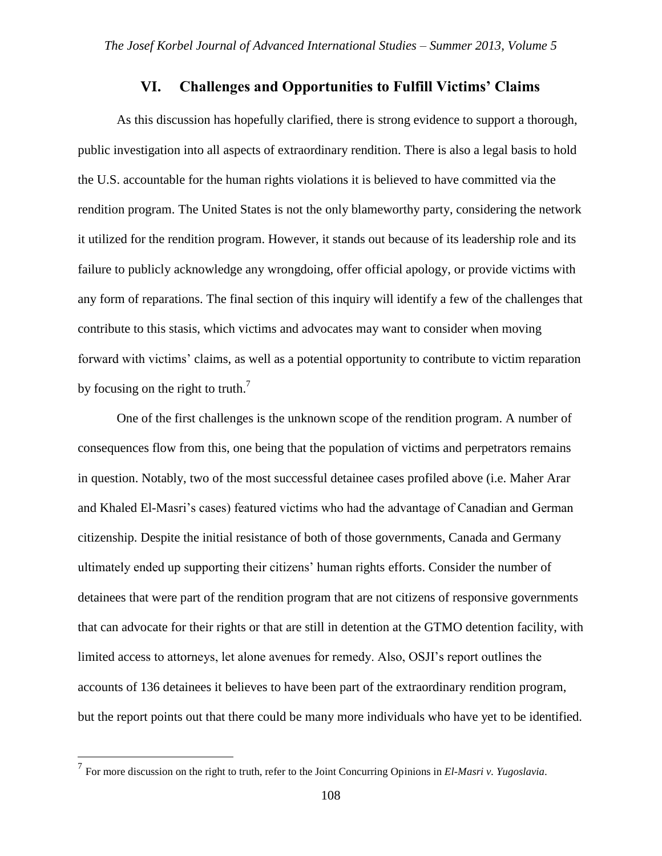## **VI. Challenges and Opportunities to Fulfill Victims' Claims**

As this discussion has hopefully clarified, there is strong evidence to support a thorough, public investigation into all aspects of extraordinary rendition. There is also a legal basis to hold the U.S. accountable for the human rights violations it is believed to have committed via the rendition program. The United States is not the only blameworthy party, considering the network it utilized for the rendition program. However, it stands out because of its leadership role and its failure to publicly acknowledge any wrongdoing, offer official apology, or provide victims with any form of reparations. The final section of this inquiry will identify a few of the challenges that contribute to this stasis, which victims and advocates may want to consider when moving forward with victims' claims, as well as a potential opportunity to contribute to victim reparation by focusing on the right to truth.<sup>7</sup>

One of the first challenges is the unknown scope of the rendition program. A number of consequences flow from this, one being that the population of victims and perpetrators remains in question. Notably, two of the most successful detainee cases profiled above (i.e. Maher Arar and Khaled El-Masri's cases) featured victims who had the advantage of Canadian and German citizenship. Despite the initial resistance of both of those governments, Canada and Germany ultimately ended up supporting their citizens' human rights efforts. Consider the number of detainees that were part of the rendition program that are not citizens of responsive governments that can advocate for their rights or that are still in detention at the GTMO detention facility, with limited access to attorneys, let alone avenues for remedy. Also, OSJI's report outlines the accounts of 136 detainees it believes to have been part of the extraordinary rendition program, but the report points out that there could be many more individuals who have yet to be identified.

 $\overline{a}$ 

<sup>7</sup> For more discussion on the right to truth, refer to the Joint Concurring Opinions in *El-Masri v. Yugoslavia.*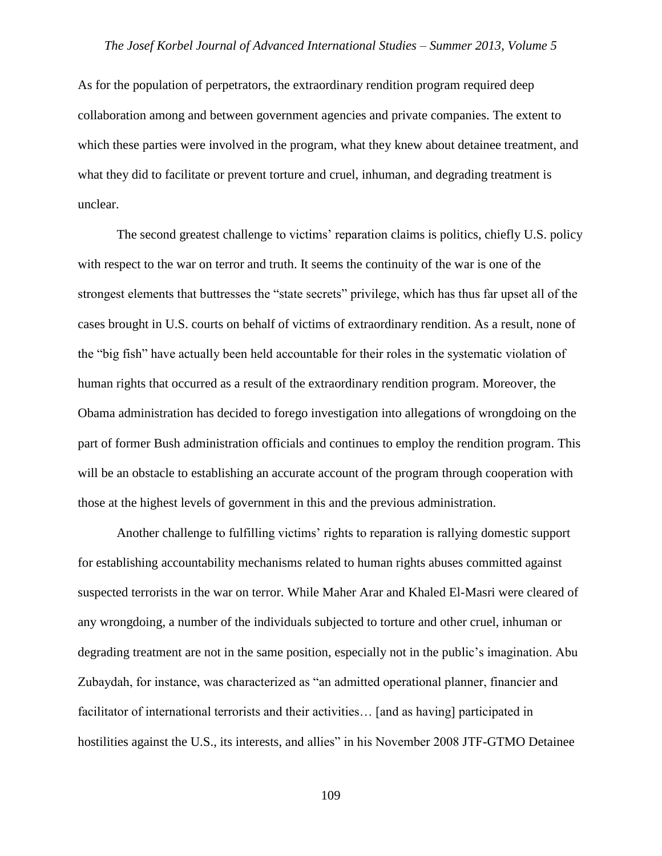As for the population of perpetrators, the extraordinary rendition program required deep collaboration among and between government agencies and private companies. The extent to which these parties were involved in the program, what they knew about detainee treatment, and what they did to facilitate or prevent torture and cruel, inhuman, and degrading treatment is unclear.

The second greatest challenge to victims' reparation claims is politics, chiefly U.S. policy with respect to the war on terror and truth. It seems the continuity of the war is one of the strongest elements that buttresses the "state secrets" privilege, which has thus far upset all of the cases brought in U.S. courts on behalf of victims of extraordinary rendition. As a result, none of the "big fish" have actually been held accountable for their roles in the systematic violation of human rights that occurred as a result of the extraordinary rendition program. Moreover, the Obama administration has decided to forego investigation into allegations of wrongdoing on the part of former Bush administration officials and continues to employ the rendition program. This will be an obstacle to establishing an accurate account of the program through cooperation with those at the highest levels of government in this and the previous administration.

Another challenge to fulfilling victims' rights to reparation is rallying domestic support for establishing accountability mechanisms related to human rights abuses committed against suspected terrorists in the war on terror. While Maher Arar and Khaled El-Masri were cleared of any wrongdoing, a number of the individuals subjected to torture and other cruel, inhuman or degrading treatment are not in the same position, especially not in the public's imagination. Abu Zubaydah, for instance, was characterized as "an admitted operational planner, financier and facilitator of international terrorists and their activities… [and as having] participated in hostilities against the U.S., its interests, and allies" in his November 2008 JTF-GTMO Detainee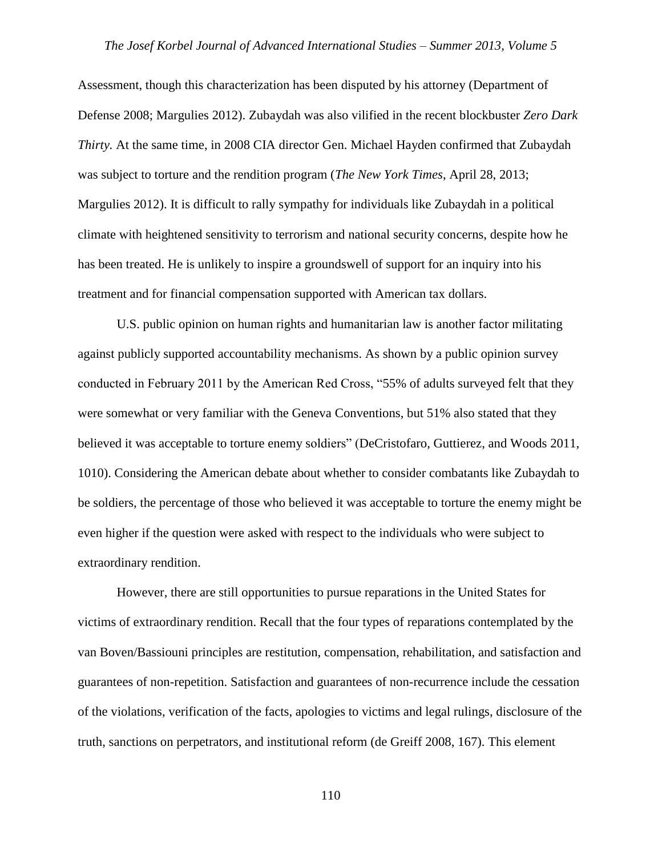Assessment, though this characterization has been disputed by his attorney (Department of Defense 2008; Margulies 2012). Zubaydah was also vilified in the recent blockbuster *Zero Dark Thirty.* At the same time, in 2008 CIA director Gen. Michael Hayden confirmed that Zubaydah was subject to torture and the rendition program (*The New York Times*, April 28, 2013; Margulies 2012). It is difficult to rally sympathy for individuals like Zubaydah in a political climate with heightened sensitivity to terrorism and national security concerns, despite how he has been treated. He is unlikely to inspire a groundswell of support for an inquiry into his treatment and for financial compensation supported with American tax dollars.

U.S. public opinion on human rights and humanitarian law is another factor militating against publicly supported accountability mechanisms. As shown by a public opinion survey conducted in February 2011 by the American Red Cross, "55% of adults surveyed felt that they were somewhat or very familiar with the Geneva Conventions, but 51% also stated that they believed it was acceptable to torture enemy soldiers" (DeCristofaro, Guttierez, and Woods 2011, 1010). Considering the American debate about whether to consider combatants like Zubaydah to be soldiers, the percentage of those who believed it was acceptable to torture the enemy might be even higher if the question were asked with respect to the individuals who were subject to extraordinary rendition.

However, there are still opportunities to pursue reparations in the United States for victims of extraordinary rendition. Recall that the four types of reparations contemplated by the van Boven/Bassiouni principles are restitution, compensation, rehabilitation, and satisfaction and guarantees of non-repetition. Satisfaction and guarantees of non-recurrence include the cessation of the violations, verification of the facts, apologies to victims and legal rulings, disclosure of the truth, sanctions on perpetrators, and institutional reform (de Greiff 2008, 167). This element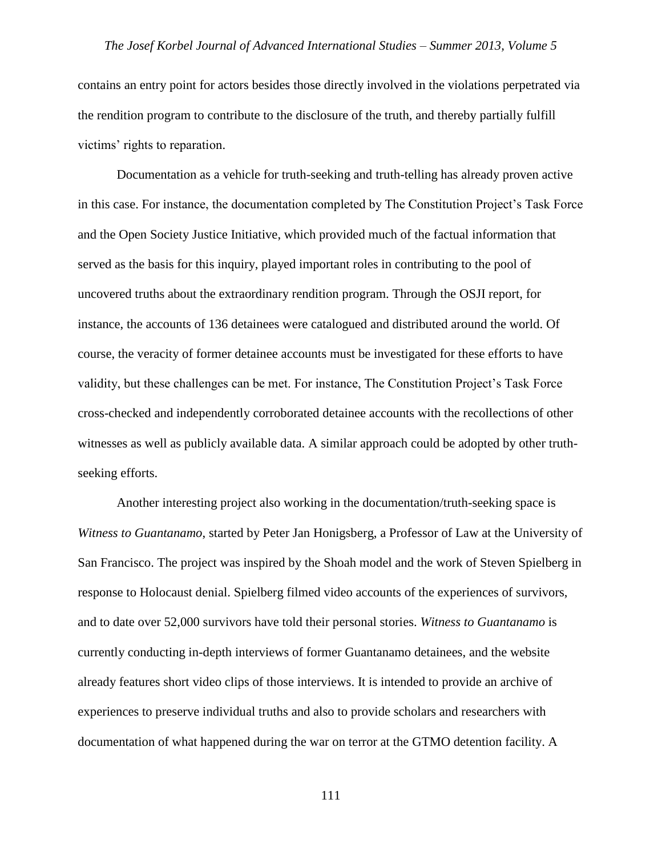contains an entry point for actors besides those directly involved in the violations perpetrated via the rendition program to contribute to the disclosure of the truth, and thereby partially fulfill victims' rights to reparation.

Documentation as a vehicle for truth-seeking and truth-telling has already proven active in this case. For instance, the documentation completed by The Constitution Project's Task Force and the Open Society Justice Initiative, which provided much of the factual information that served as the basis for this inquiry, played important roles in contributing to the pool of uncovered truths about the extraordinary rendition program. Through the OSJI report, for instance, the accounts of 136 detainees were catalogued and distributed around the world. Of course, the veracity of former detainee accounts must be investigated for these efforts to have validity, but these challenges can be met. For instance, The Constitution Project's Task Force cross-checked and independently corroborated detainee accounts with the recollections of other witnesses as well as publicly available data. A similar approach could be adopted by other truthseeking efforts.

Another interesting project also working in the documentation/truth-seeking space is *Witness to Guantanamo*, started by Peter Jan Honigsberg, a Professor of Law at the University of San Francisco. The project was inspired by the Shoah model and the work of Steven Spielberg in response to Holocaust denial. Spielberg filmed video accounts of the experiences of survivors, and to date over 52,000 survivors have told their personal stories. *Witness to Guantanamo* is currently conducting in-depth interviews of former Guantanamo detainees, and the website already features short video clips of those interviews. It is intended to provide an archive of experiences to preserve individual truths and also to provide scholars and researchers with documentation of what happened during the war on terror at the GTMO detention facility. A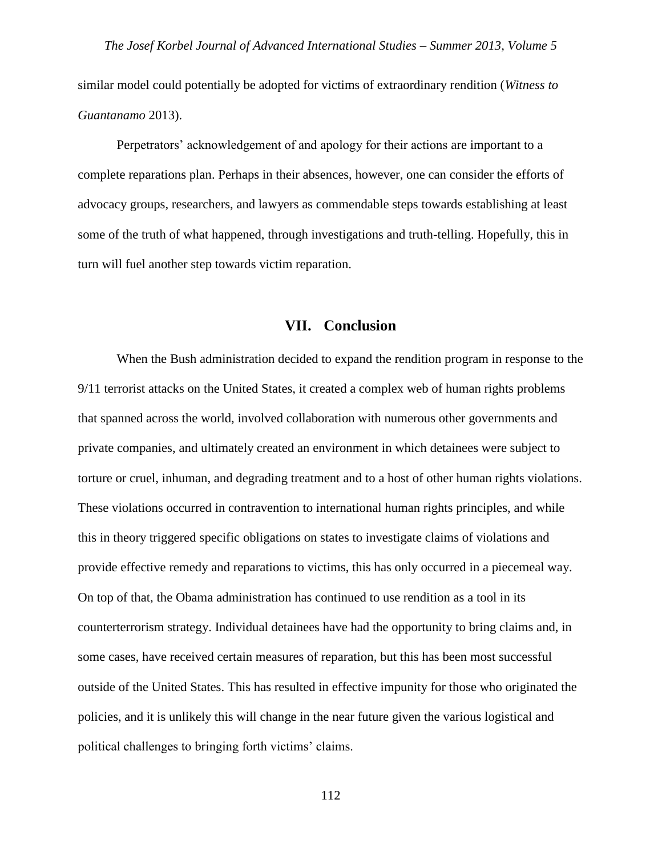similar model could potentially be adopted for victims of extraordinary rendition (*Witness to Guantanamo* 2013).

Perpetrators' acknowledgement of and apology for their actions are important to a complete reparations plan. Perhaps in their absences, however, one can consider the efforts of advocacy groups, researchers, and lawyers as commendable steps towards establishing at least some of the truth of what happened, through investigations and truth-telling. Hopefully, this in turn will fuel another step towards victim reparation.

### **VII. Conclusion**

When the Bush administration decided to expand the rendition program in response to the 9/11 terrorist attacks on the United States, it created a complex web of human rights problems that spanned across the world, involved collaboration with numerous other governments and private companies, and ultimately created an environment in which detainees were subject to torture or cruel, inhuman, and degrading treatment and to a host of other human rights violations. These violations occurred in contravention to international human rights principles, and while this in theory triggered specific obligations on states to investigate claims of violations and provide effective remedy and reparations to victims, this has only occurred in a piecemeal way. On top of that, the Obama administration has continued to use rendition as a tool in its counterterrorism strategy. Individual detainees have had the opportunity to bring claims and, in some cases, have received certain measures of reparation, but this has been most successful outside of the United States. This has resulted in effective impunity for those who originated the policies, and it is unlikely this will change in the near future given the various logistical and political challenges to bringing forth victims' claims.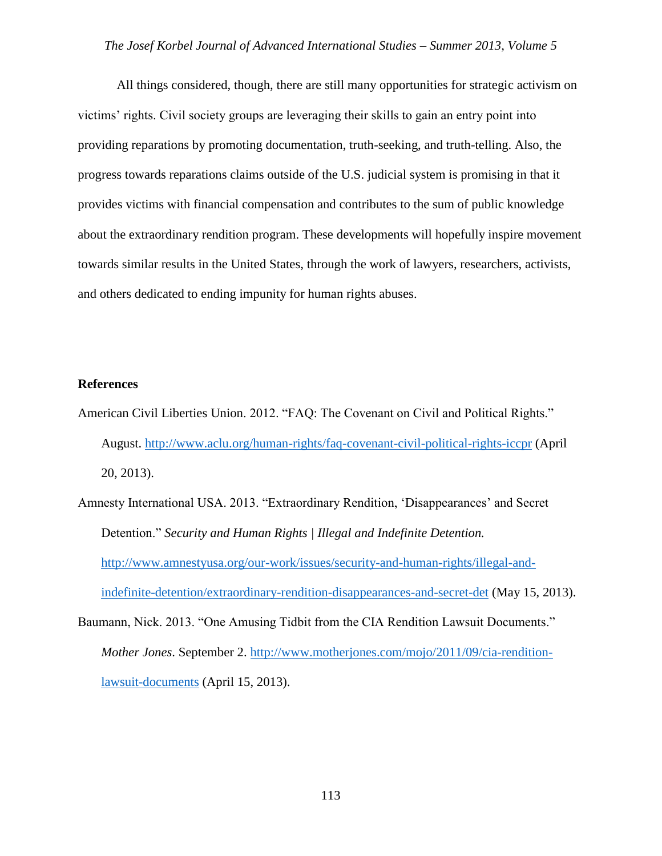All things considered, though, there are still many opportunities for strategic activism on victims' rights. Civil society groups are leveraging their skills to gain an entry point into providing reparations by promoting documentation, truth-seeking, and truth-telling. Also, the progress towards reparations claims outside of the U.S. judicial system is promising in that it provides victims with financial compensation and contributes to the sum of public knowledge about the extraordinary rendition program. These developments will hopefully inspire movement towards similar results in the United States, through the work of lawyers, researchers, activists, and others dedicated to ending impunity for human rights abuses.

#### **References**

- American Civil Liberties Union. 2012. "FAQ: The Covenant on Civil and Political Rights." August.<http://www.aclu.org/human-rights/faq-covenant-civil-political-rights-iccpr> (April 20, 2013).
- Amnesty International USA. 2013. "Extraordinary Rendition, 'Disappearances' and Secret Detention." *Security and Human Rights | Illegal and Indefinite Detention.* [http://www.amnestyusa.org/our-work/issues/security-and-human-rights/illegal-and](http://www.amnestyusa.org/our-work/issues/security-and-human-rights/illegal-and-indefinite-detention/extraordinary-rendition-disappearances-and-secret-det)[indefinite-detention/extraordinary-rendition-disappearances-and-secret-det](http://www.amnestyusa.org/our-work/issues/security-and-human-rights/illegal-and-indefinite-detention/extraordinary-rendition-disappearances-and-secret-det) (May 15, 2013).
- Baumann, Nick. 2013. "One Amusing Tidbit from the CIA Rendition Lawsuit Documents." *Mother Jones*. September 2. [http://www.motherjones.com/mojo/2011/09/cia-rendition](http://www.motherjones.com/mojo/2011/09/cia-rendition-lawsuit-documents)[lawsuit-documents](http://www.motherjones.com/mojo/2011/09/cia-rendition-lawsuit-documents) (April 15, 2013).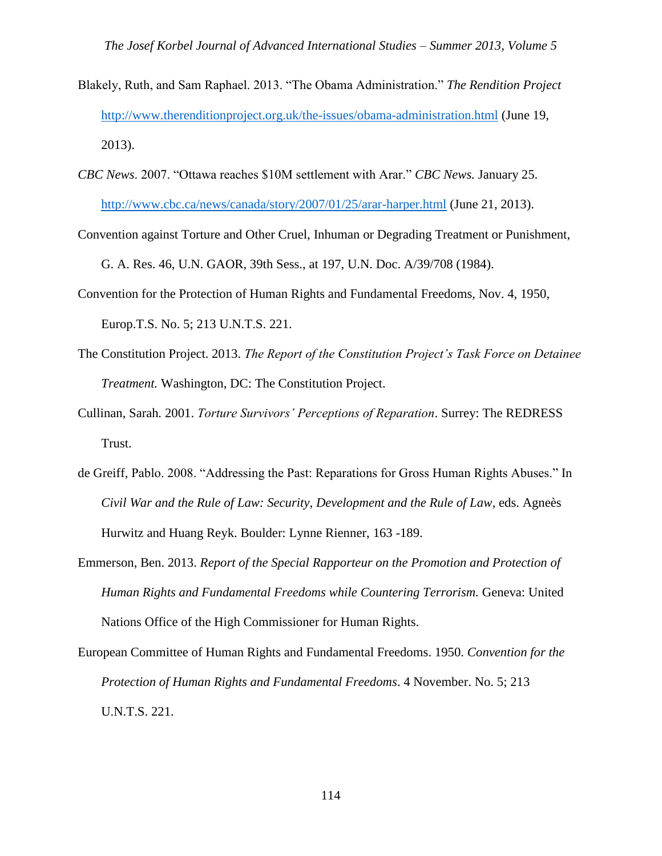- Blakely, Ruth, and Sam Raphael. 2013. "The Obama Administration." *The Rendition Project* <http://www.therenditionproject.org.uk/the-issues/obama-administration.html> (June 19, 2013).
- *CBC News*. 2007. "Ottawa reaches \$10M settlement with Arar." *CBC News.* January 25. <http://www.cbc.ca/news/canada/story/2007/01/25/arar-harper.html> (June 21, 2013).
- Convention against Torture and Other Cruel, Inhuman or Degrading Treatment or Punishment, G. A. Res. 46, U.N. GAOR, 39th Sess., at 197, U.N. Doc. A/39/708 (1984).
- Convention for the Protection of Human Rights and Fundamental Freedoms, Nov. 4, 1950, Europ.T.S. No. 5; 213 U.N.T.S. 221.
- The Constitution Project. 2013. *The Report of the Constitution Project's Task Force on Detainee Treatment.* Washington, DC: The Constitution Project.
- Cullinan, Sarah*.* 2001. *Torture Survivors' Perceptions of Reparation*. Surrey: The REDRESS Trust.
- de Greiff, Pablo. 2008. "Addressing the Past: Reparations for Gross Human Rights Abuses." In *Civil War and the Rule of Law: Security, Development and the Rule of Law*, eds. Agneès Hurwitz and Huang Reyk. Boulder: Lynne Rienner, 163 -189.
- Emmerson, Ben. 2013. *Report of the Special Rapporteur on the Promotion and Protection of Human Rights and Fundamental Freedoms while Countering Terrorism.* Geneva: United Nations Office of the High Commissioner for Human Rights.
- European Committee of Human Rights and Fundamental Freedoms. 1950. *Convention for the Protection of Human Rights and Fundamental Freedoms*. 4 November. No. 5; 213 U.N.T.S. 221.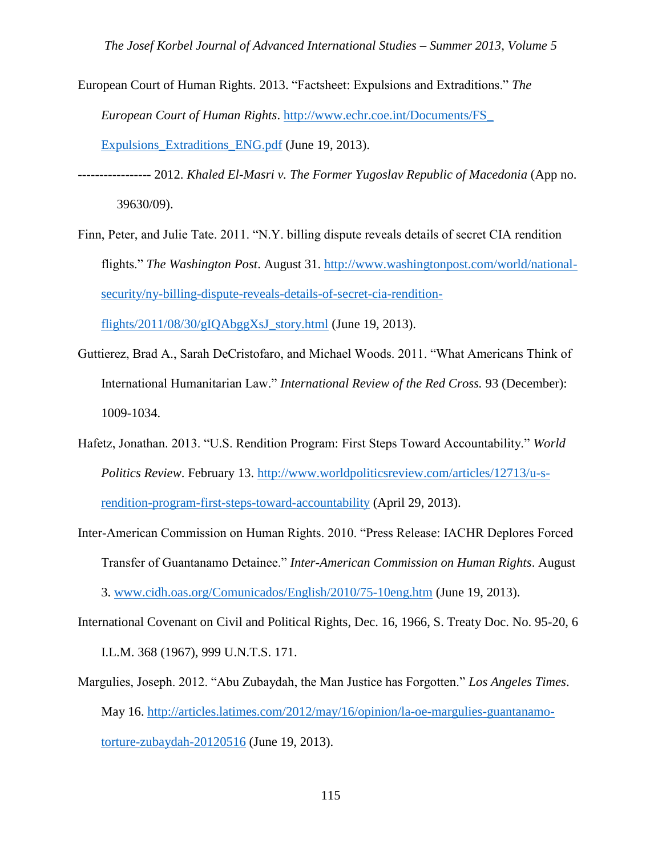- European Court of Human Rights*.* 2013. "Factsheet: Expulsions and Extraditions." *The European Court of Human Rights*. [http://www.echr.coe.int/Documents/FS\\_](http://www.echr.coe.int/Documents/FS_%20%20%20%20%20%20%20Expulsions_Extraditions_ENG.pdf)  Expulsions Extraditions ENG.pdf (June 19, 2013).
- ----------------- 2012. *Khaled El-Masri v. The Former Yugoslav Republic of Macedonia* (App no. 39630/09).
- Finn, Peter, and Julie Tate. 2011. "N.Y. billing dispute reveals details of secret CIA rendition flights." *The Washington Post*. August 31. [http://www.washingtonpost.com/world/national](http://www.washingtonpost.com/world/national-security/ny-billing-dispute-reveals-details-of-secret-cia-rendition-flights/2011/08/30/gIQAbggXsJ_story.html)[security/ny-billing-dispute-reveals-details-of-secret-cia-rendition](http://www.washingtonpost.com/world/national-security/ny-billing-dispute-reveals-details-of-secret-cia-rendition-flights/2011/08/30/gIQAbggXsJ_story.html)[flights/2011/08/30/gIQAbggXsJ\\_story.html](http://www.washingtonpost.com/world/national-security/ny-billing-dispute-reveals-details-of-secret-cia-rendition-flights/2011/08/30/gIQAbggXsJ_story.html) (June 19, 2013).
- Guttierez, Brad A., Sarah DeCristofaro, and Michael Woods. 2011. "What Americans Think of International Humanitarian Law." *International Review of the Red Cross.* 93 (December): 1009-1034.
- Hafetz, Jonathan. 2013. "U.S. Rendition Program: First Steps Toward Accountability." *World Politics Review*. February 13. [http://www.worldpoliticsreview.com/articles/12713/u-s](http://www.worldpoliticsreview.com/articles/12713/u-s-rendition-program-first-steps-toward-accountability)[rendition-program-first-steps-toward-accountability](http://www.worldpoliticsreview.com/articles/12713/u-s-rendition-program-first-steps-toward-accountability) (April 29, 2013).
- Inter-American Commission on Human Rights. 2010. "Press Release: IACHR Deplores Forced Transfer of Guantanamo Detainee." *Inter-American Commission on Human Rights*. August 3. [www.cidh.oas.org/Comunicados/English/2010/75-10eng.htm](http://www.cidh.oas.org/Comunicados/English/2010/75-10eng.htm) (June 19, 2013).
- International Covenant on Civil and Political Rights, Dec. 16, 1966, S. Treaty Doc. No. 95-20, 6 I.L.M. 368 (1967), 999 U.N.T.S. 171.
- Margulies, Joseph. 2012. "Abu Zubaydah, the Man Justice has Forgotten." *Los Angeles Times*. May 16. [http://articles.latimes.com/2012/may/16/opinion/la-oe-margulies-guantanamo](http://articles.latimes.com/2012/may/16/opinion/la-oe-margulies-guantanamo-torture-zubaydah-20120516)[torture-zubaydah-20120516](http://articles.latimes.com/2012/may/16/opinion/la-oe-margulies-guantanamo-torture-zubaydah-20120516) (June 19, 2013).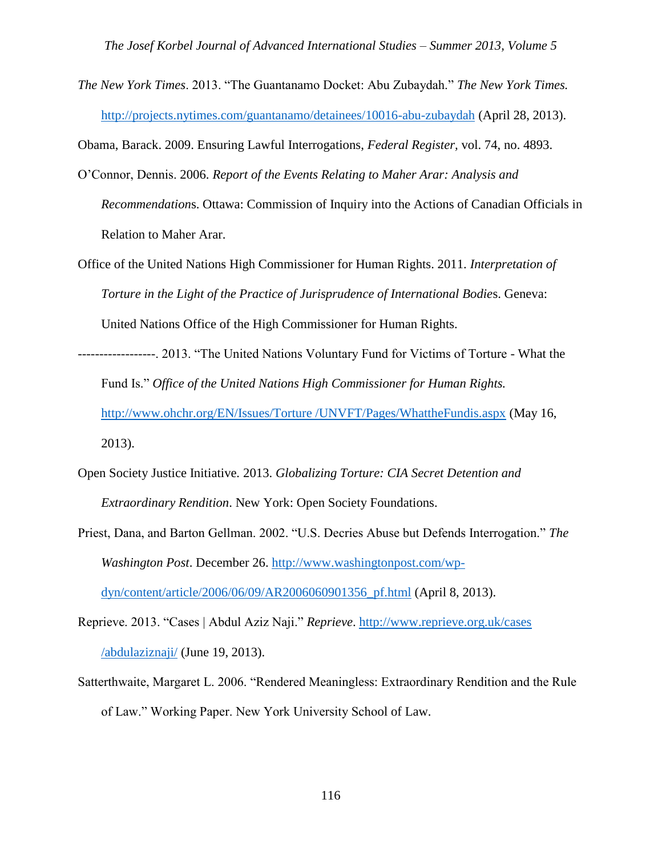*The New York Times*. 2013. "The Guantanamo Docket: Abu Zubaydah." *The New York Times.* <http://projects.nytimes.com/guantanamo/detainees/10016-abu-zubaydah> (April 28, 2013).

Obama, Barack. 2009. Ensuring Lawful Interrogations, *Federal Register,* vol. 74, no. 4893.

- O'Connor, Dennis. 2006. *Report of the Events Relating to Maher Arar: Analysis and Recommendation*s. Ottawa: Commission of Inquiry into the Actions of Canadian Officials in Relation to Maher Arar.
- Office of the United Nations High Commissioner for Human Rights. 2011. *Interpretation of Torture in the Light of the Practice of Jurisprudence of International Bodie*s. Geneva: United Nations Office of the High Commissioner for Human Rights.
- ------------------. 2013. "The United Nations Voluntary Fund for Victims of Torture What the Fund Is." *Office of the United Nations High Commissioner for Human Rights.* [http://www.ohchr.org/EN/Issues/Torture /UNVFT/Pages/WhattheFundis.aspx](http://www.ohchr.org/EN/Issues/Torture%20/UNVFT/Pages/WhattheFundis.aspx) (May 16, 2013).
- Open Society Justice Initiative*.* 2013. *Globalizing Torture: CIA Secret Detention and Extraordinary Rendition*. New York: Open Society Foundations.
- Priest, Dana, and Barton Gellman. 2002. "U.S. Decries Abuse but Defends Interrogation." *The Washington Post*. December 26. [http://www.washingtonpost.com/wp](http://www.washingtonpost.com/wp-dyn/content/article/2006/06/09/AR2006060901356_pf.html)[dyn/content/article/2006/06/09/AR2006060901356\\_pf.html](http://www.washingtonpost.com/wp-dyn/content/article/2006/06/09/AR2006060901356_pf.html) (April 8, 2013).
- Reprieve. 2013. "Cases | Abdul Aziz Naji." *Reprieve*. [http://www.reprieve.org.uk/cases](http://www.reprieve.org.uk/cases%20/abdulaziznaji/)  [/abdulaziznaji/](http://www.reprieve.org.uk/cases%20/abdulaziznaji/) (June 19, 2013).
- Satterthwaite, Margaret L. 2006. "Rendered Meaningless: Extraordinary Rendition and the Rule of Law." Working Paper. New York University School of Law.